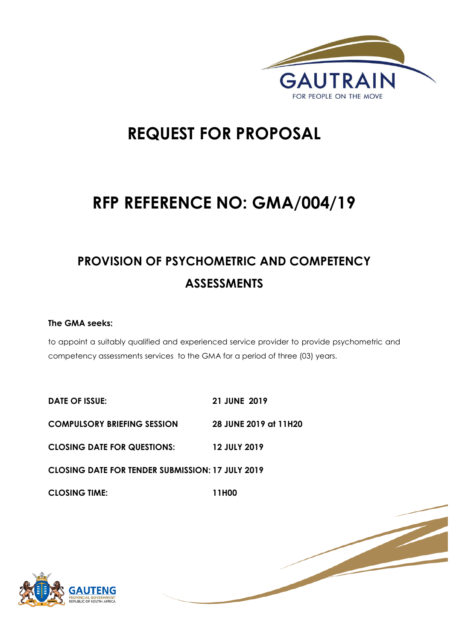

1 | P a g e

# **REQUEST FOR PROPOSAL**

# **RFP REFERENCE NO: GMA/004/19**

# **PROVISION OF PSYCHOMETRIC AND COMPETENCY ASSESSMENTS**

# **The GMA seeks:**

to appoint a suitably qualified and experienced service provider to provide psychometric and competency assessments services to the GMA for a period of three (03) years.

**DATE OF ISSUE: 21 JUNE 2019 COMPULSORY BRIEFING SESSION 28 JUNE 2019 at 11H20 CLOSING DATE FOR QUESTIONS: 12 JULY 2019 CLOSING DATE FOR TENDER SUBMISSION: 17 JULY 2019 CLOSING TIME: 11H00** 

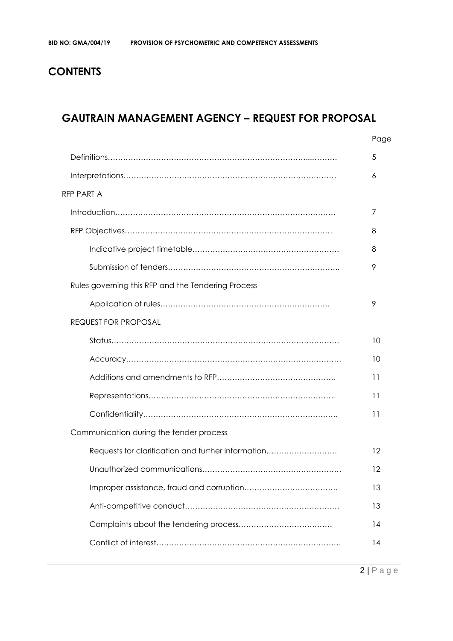# **CONTENTS**

# **GAUTRAIN MANAGEMENT AGENCY – REQUEST FOR PROPOSAL**

|                                                    | Page              |
|----------------------------------------------------|-------------------|
|                                                    | 5                 |
|                                                    | 6                 |
| RFP PART A                                         |                   |
|                                                    | 7                 |
|                                                    | 8                 |
|                                                    | 8                 |
|                                                    | 9                 |
| Rules governing this RFP and the Tendering Process |                   |
|                                                    | 9                 |
| <b>REQUEST FOR PROPOSAL</b>                        |                   |
|                                                    | 10                |
|                                                    | 10                |
|                                                    | 11                |
|                                                    | 11                |
|                                                    | 11                |
| Communication during the tender process            |                   |
| Requests for clarification and further information | $12 \overline{ }$ |
|                                                    | 12                |
|                                                    | 13                |
|                                                    | 13                |
|                                                    | 14                |
|                                                    | 14                |
|                                                    |                   |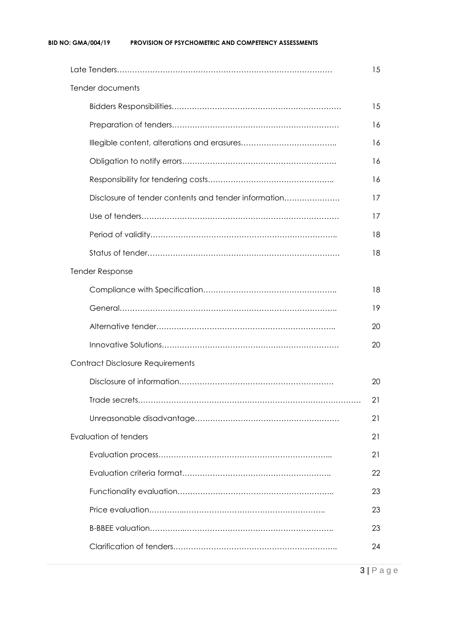#### **BID NO: GMA/004/19 PROVISION OF PSYCHOMETRIC AND COMPETENCY ASSESSMENTS**

|                                                      | 15 |
|------------------------------------------------------|----|
| Tender documents                                     |    |
|                                                      | 15 |
|                                                      | 16 |
|                                                      | 16 |
|                                                      | 16 |
|                                                      | 16 |
| Disclosure of tender contents and tender information | 17 |
|                                                      | 17 |
|                                                      | 18 |
|                                                      | 18 |
| <b>Tender Response</b>                               |    |
|                                                      | 18 |
|                                                      | 19 |
|                                                      | 20 |
|                                                      | 20 |
| <b>Contract Disclosure Requirements</b>              |    |
|                                                      | 20 |
|                                                      | 21 |
|                                                      | 21 |
| Evaluation of tenders                                | 21 |
|                                                      | 21 |
|                                                      | 22 |
|                                                      | 23 |
|                                                      | 23 |
|                                                      | 23 |
|                                                      | 24 |
|                                                      |    |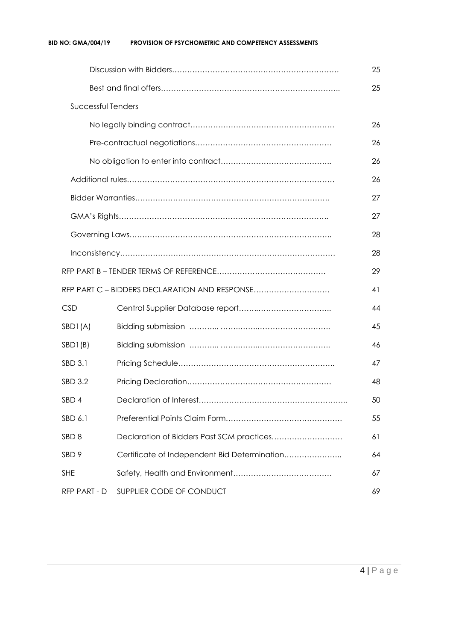#### **BID NO: GMA/004/19 PROVISION OF PSYCHOMETRIC AND COMPETENCY ASSESSMENTS**

|                    |                                               | 25 |
|--------------------|-----------------------------------------------|----|
|                    |                                               | 25 |
| Successful Tenders |                                               |    |
|                    |                                               | 26 |
|                    |                                               | 26 |
|                    |                                               | 26 |
|                    |                                               | 26 |
|                    |                                               | 27 |
|                    |                                               | 27 |
|                    |                                               | 28 |
|                    |                                               | 28 |
|                    |                                               | 29 |
|                    | RFP PART C - BIDDERS DECLARATION AND RESPONSE | 41 |
| <b>CSD</b>         |                                               | 44 |
| SBDI(A)            |                                               | 45 |
| SBD1(B)            |                                               | 46 |
| SBD 3.1            |                                               | 47 |
| SBD 3.2            |                                               | 48 |
| SBD 4              |                                               | 50 |
| SBD 6.1            |                                               | 55 |
| SBD <sub>8</sub>   | Declaration of Bidders Past SCM practices     | 61 |
| SBD <sub>9</sub>   | Certificate of Independent Bid Determination  | 64 |
| <b>SHE</b>         |                                               | 67 |
| RFP PART - D       | SUPPLIER CODE OF CONDUCT                      | 69 |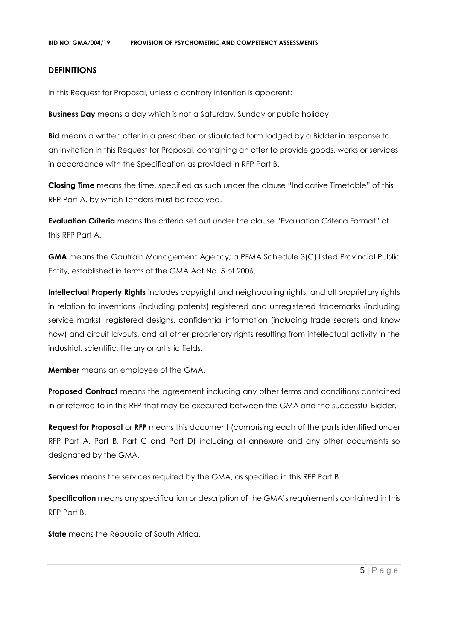#### **DEFINITIONS**

In this Request for Proposal, unless a contrary intention is apparent:

**Business Day** means a day which is not a Saturday, Sunday or public holiday.

**Bid** means a written offer in a prescribed or stipulated form lodged by a Bidder in response to an invitation in this Request for Proposal, containing an offer to provide goods, works or services in accordance with the Specification as provided in RFP Part B.

**Closing Time** means the time, specified as such under the clause "Indicative Timetable" of this RFP Part A, by which Tenders must be received.

**Evaluation Criteria** means the criteria set out under the clause "Evaluation Criteria Format" of this RFP Part A.

**GMA** means the Gautrain Management Agency; a PFMA Schedule 3(C) listed Provincial Public Entity, established in terms of the GMA Act No. 5 of 2006.

**Intellectual Property Rights** includes copyright and neighbouring rights, and all proprietary rights in relation to inventions (including patents) registered and unregistered trademarks (including service marks), registered designs, confidential information (including trade secrets and know how) and circuit layouts, and all other proprietary rights resulting from intellectual activity in the industrial, scientific, literary or artistic fields.

**Member** means an employee of the GMA.

**Proposed Contract** means the agreement including any other terms and conditions contained in or referred to in this RFP that may be executed between the GMA and the successful Bidder.

**Request for Proposal** or **RFP** means this document (comprising each of the parts identified under RFP Part A, Part B, Part C and Part D) including all annexure and any other documents so designated by the GMA.

**Services** means the services required by the GMA, as specified in this RFP Part B.

**Specification** means any specification or description of the GMA's requirements contained in this RFP Part B.

**State** means the Republic of South Africa.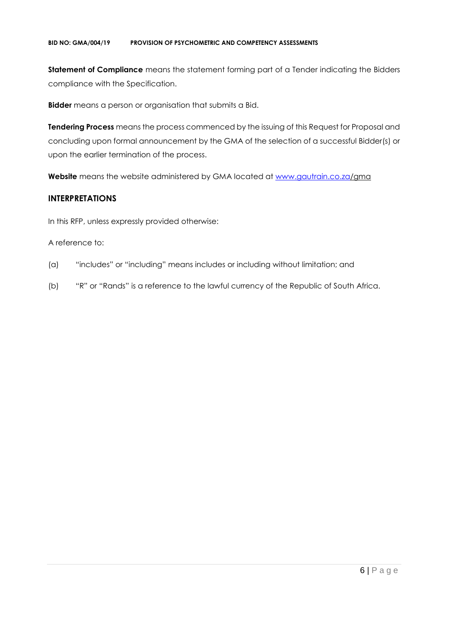#### **BID NO: GMA/004/19 PROVISION OF PSYCHOMETRIC AND COMPETENCY ASSESSMENTS**

**Statement of Compliance** means the statement forming part of a Tender indicating the Bidders compliance with the Specification.

**Bidder** means a person or organisation that submits a Bid.

**Tendering Process** means the process commenced by the issuing of this Request for Proposal and concluding upon formal announcement by the GMA of the selection of a successful Bidder(s) or upon the earlier termination of the process.

**Website** means the website administered by GMA located at [www.gautrain.co.za/](http://www.gautrain.co.za/)gma

# **INTERPRETATIONS**

In this RFP, unless expressly provided otherwise:

#### A reference to:

- (a) "includes" or "including" means includes or including without limitation; and
- (b) "R" or "Rands" is a reference to the lawful currency of the Republic of South Africa.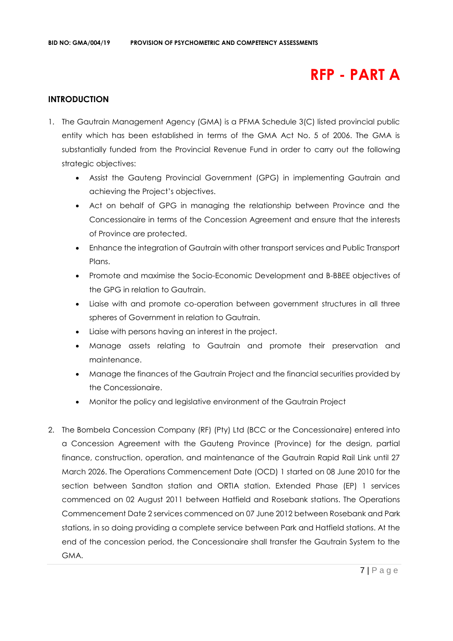# **RFP - PART A**

# **INTRODUCTION**

- 1. The Gautrain Management Agency (GMA) is a PFMA Schedule 3(C) listed provincial public entity which has been established in terms of the GMA Act No. 5 of 2006. The GMA is substantially funded from the Provincial Revenue Fund in order to carry out the following strategic objectives:
	- Assist the Gauteng Provincial Government (GPG) in implementing Gautrain and achieving the Project's objectives.
	- Act on behalf of GPG in managing the relationship between Province and the Concessionaire in terms of the Concession Agreement and ensure that the interests of Province are protected.
	- Enhance the integration of Gautrain with other transport services and Public Transport Plans.
	- Promote and maximise the Socio-Economic Development and B-BBEE objectives of the GPG in relation to Gautrain.
	- Liaise with and promote co-operation between government structures in all three spheres of Government in relation to Gautrain.
	- Liaise with persons having an interest in the project.
	- Manage assets relating to Gautrain and promote their preservation and maintenance.
	- Manage the finances of the Gautrain Project and the financial securities provided by the Concessionaire.
	- Monitor the policy and legislative environment of the Gautrain Project
- 2. The Bombela Concession Company (RF) (Pty) Ltd (BCC or the Concessionaire) entered into a Concession Agreement with the Gauteng Province (Province) for the design, partial finance, construction, operation, and maintenance of the Gautrain Rapid Rail Link until 27 March 2026. The Operations Commencement Date (OCD) 1 started on 08 June 2010 for the section between Sandton station and ORTIA station. Extended Phase (EP) 1 services commenced on 02 August 2011 between Hatfield and Rosebank stations. The Operations Commencement Date 2 services commenced on 07 June 2012 between Rosebank and Park stations, in so doing providing a complete service between Park and Hatfield stations. At the end of the concession period, the Concessionaire shall transfer the Gautrain System to the GMA.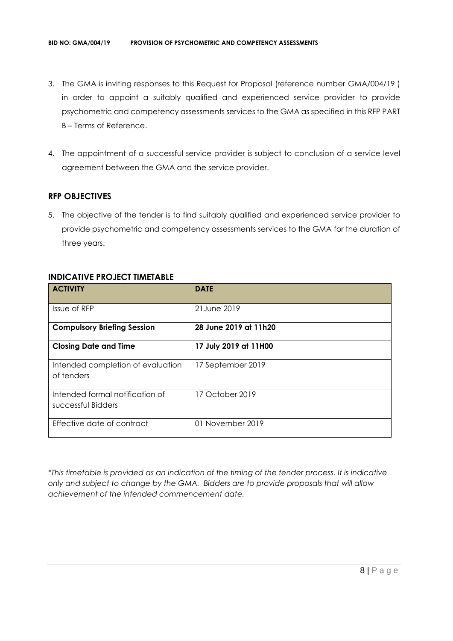- 3. The GMA is inviting responses to this Request for Proposal (reference number GMA/004/19 ) in order to appoint a suitably qualified and experienced service provider to provide psychometric and competency assessments services to the GMA as specified in this RFP PART B – Terms of Reference.
- 4. The appointment of a successful service provider is subject to conclusion of a service level agreement between the GMA and the service provider.

# **RFP OBJECTIVES**

5. The objective of the tender is to find suitably qualified and experienced service provider to provide psychometric and competency assessments services to the GMA for the duration of three years.

| <b>ACTIVITY</b>                                       | <b>DATE</b>           |
|-------------------------------------------------------|-----------------------|
| Issue of RFP                                          | 21 June 2019          |
| <b>Compulsory Briefing Session</b>                    | 28 June 2019 at 11h20 |
| <b>Closing Date and Time</b>                          | 17 July 2019 at 11H00 |
| Intended completion of evaluation<br>of tenders       | 17 September 2019     |
| Intended formal notification of<br>successful Bidders | 17 October 2019       |
| Effective date of contract                            | 01 November 2019      |

# **INDICATIVE PROJECT TIMETABLE**

*\*This timetable is provided as an indication of the timing of the tender process. It is indicative only and subject to change by the GMA. Bidders are to provide proposals that will allow achievement of the intended commencement date.*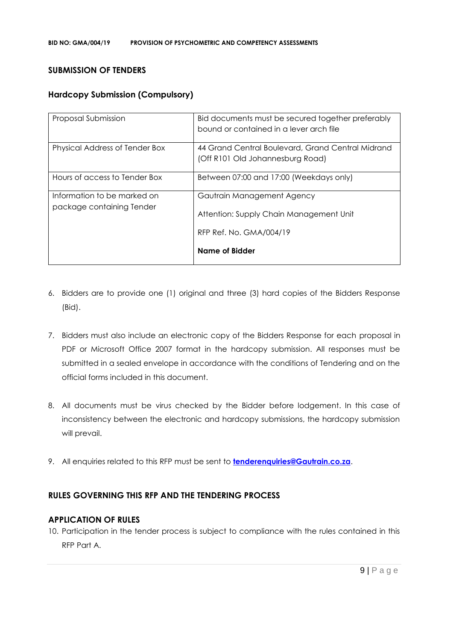## **SUBMISSION OF TENDERS**

# **Hardcopy Submission (Compulsory)**

| Proposal Submission                                      | Bid documents must be secured together preferably<br>bound or contained in a lever arch file |
|----------------------------------------------------------|----------------------------------------------------------------------------------------------|
| Physical Address of Tender Box                           | 44 Grand Central Boulevard, Grand Central Midrand<br>(Off R101 Old Johannesburg Road)        |
| Hours of access to Tender Box                            | Between 07:00 and 17:00 (Weekdays only)                                                      |
| Information to be marked on<br>package containing Tender | Gautrain Management Agency<br>Attention: Supply Chain Management Unit                        |
|                                                          | RFP Ref. No. GMA/004/19                                                                      |
|                                                          | Name of Bidder                                                                               |

- 6. Bidders are to provide one (1) original and three (3) hard copies of the Bidders Response (Bid).
- 7. Bidders must also include an electronic copy of the Bidders Response for each proposal in PDF or Microsoft Office 2007 format in the hardcopy submission. All responses must be submitted in a sealed envelope in accordance with the conditions of Tendering and on the official forms included in this document.
- 8. All documents must be virus checked by the Bidder before lodgement. In this case of inconsistency between the electronic and hardcopy submissions, the hardcopy submission will prevail.
- 9. All enquiries related to this RFP must be sent to **[tenderenquiries@Gautrain.co.za](mailto:tenderenquiries@Gautrain.co.za)**.

# **RULES GOVERNING THIS RFP AND THE TENDERING PROCESS**

#### **APPLICATION OF RULES**

10. Participation in the tender process is subject to compliance with the rules contained in this RFP Part A.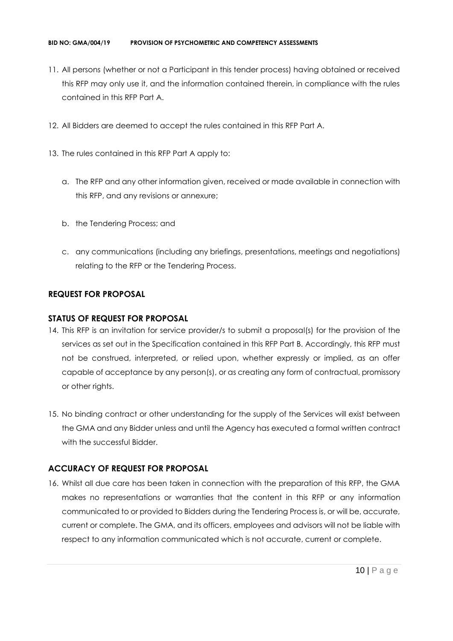- 11. All persons (whether or not a Participant in this tender process) having obtained or received this RFP may only use it, and the information contained therein, in compliance with the rules contained in this RFP Part A.
- 12. All Bidders are deemed to accept the rules contained in this RFP Part A.
- 13. The rules contained in this RFP Part A apply to:
	- a. The RFP and any other information given, received or made available in connection with this RFP, and any revisions or annexure;
	- b. the Tendering Process; and
	- c. any communications (including any briefings, presentations, meetings and negotiations) relating to the RFP or the Tendering Process.

# **REQUEST FOR PROPOSAL**

# **STATUS OF REQUEST FOR PROPOSAL**

- 14. This RFP is an invitation for service provider/s to submit a proposal(s) for the provision of the services as set out in the Specification contained in this RFP Part B. Accordingly, this RFP must not be construed, interpreted, or relied upon, whether expressly or implied, as an offer capable of acceptance by any person(s), or as creating any form of contractual, promissory or other rights.
- 15. No binding contract or other understanding for the supply of the Services will exist between the GMA and any Bidder unless and until the Agency has executed a formal written contract with the successful Bidder.

# **ACCURACY OF REQUEST FOR PROPOSAL**

16. Whilst all due care has been taken in connection with the preparation of this RFP, the GMA makes no representations or warranties that the content in this RFP or any information communicated to or provided to Bidders during the Tendering Process is, or will be, accurate, current or complete. The GMA, and its officers, employees and advisors will not be liable with respect to any information communicated which is not accurate, current or complete.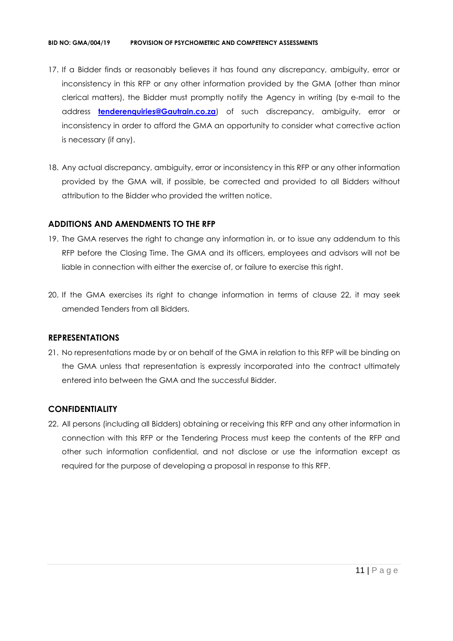#### **BID NO: GMA/004/19 PROVISION OF PSYCHOMETRIC AND COMPETENCY ASSESSMENTS**

- 17. If a Bidder finds or reasonably believes it has found any discrepancy, ambiguity, error or inconsistency in this RFP or any other information provided by the GMA (other than minor clerical matters), the Bidder must promptly notify the Agency in writing (by e-mail to the address **[tenderenquiries@Gautrain.co.za](mailto:tenderenquiries@gautrainpo.co.za)**) of such discrepancy, ambiguity, error or inconsistency in order to afford the GMA an opportunity to consider what corrective action is necessary (if any).
- 18. Any actual discrepancy, ambiguity, error or inconsistency in this RFP or any other information provided by the GMA will, if possible, be corrected and provided to all Bidders without attribution to the Bidder who provided the written notice.

#### **ADDITIONS AND AMENDMENTS TO THE RFP**

- 19. The GMA reserves the right to change any information in, or to issue any addendum to this RFP before the Closing Time. The GMA and its officers, employees and advisors will not be liable in connection with either the exercise of, or failure to exercise this right.
- 20. If the GMA exercises its right to change information in terms of clause 22, it may seek amended Tenders from all Bidders.

#### **REPRESENTATIONS**

21. No representations made by or on behalf of the GMA in relation to this RFP will be binding on the GMA unless that representation is expressly incorporated into the contract ultimately entered into between the GMA and the successful Bidder.

#### **CONFIDENTIALITY**

22. All persons (including all Bidders) obtaining or receiving this RFP and any other information in connection with this RFP or the Tendering Process must keep the contents of the RFP and other such information confidential, and not disclose or use the information except as required for the purpose of developing a proposal in response to this RFP.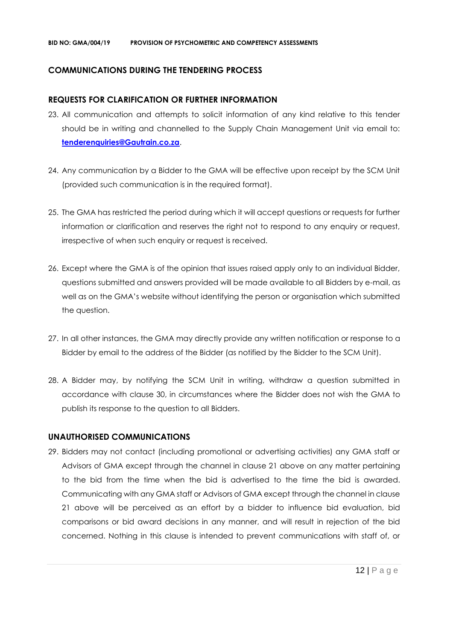## **COMMUNICATIONS DURING THE TENDERING PROCESS**

#### **REQUESTS FOR CLARIFICATION OR FURTHER INFORMATION**

- 23. All communication and attempts to solicit information of any kind relative to this tender should be in writing and channelled to the Supply Chain Management Unit via email to: **[tenderenquiries@Gautrain.co.za](mailto:tenderenquiries@gautrainpo.co.za)**.
- 24. Any communication by a Bidder to the GMA will be effective upon receipt by the SCM Unit (provided such communication is in the required format).
- 25. The GMA has restricted the period during which it will accept questions or requests for further information or clarification and reserves the right not to respond to any enquiry or request, irrespective of when such enquiry or request is received.
- 26. Except where the GMA is of the opinion that issues raised apply only to an individual Bidder, questions submitted and answers provided will be made available to all Bidders by e-mail, as well as on the GMA's website without identifying the person or organisation which submitted the question.
- 27. In all other instances, the GMA may directly provide any written notification or response to a Bidder by email to the address of the Bidder (as notified by the Bidder to the SCM Unit).
- 28. A Bidder may, by notifying the SCM Unit in writing, withdraw a question submitted in accordance with clause 30, in circumstances where the Bidder does not wish the GMA to publish its response to the question to all Bidders.

#### **UNAUTHORISED COMMUNICATIONS**

29. Bidders may not contact (including promotional or advertising activities) any GMA staff or Advisors of GMA except through the channel in clause 21 above on any matter pertaining to the bid from the time when the bid is advertised to the time the bid is awarded. Communicating with any GMA staff or Advisors of GMA except through the channel in clause 21 above will be perceived as an effort by a bidder to influence bid evaluation, bid comparisons or bid award decisions in any manner, and will result in rejection of the bid concerned. Nothing in this clause is intended to prevent communications with staff of, or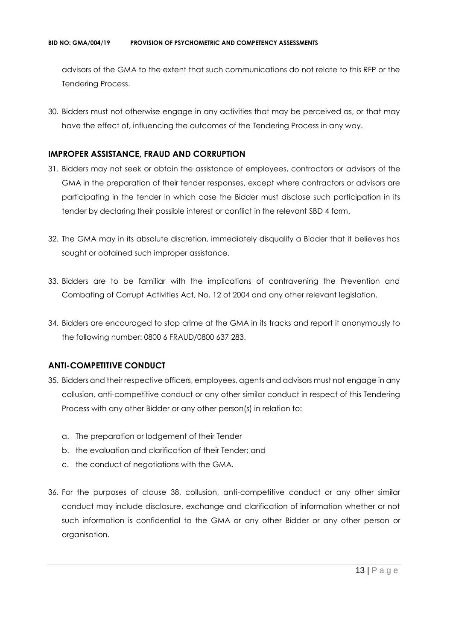advisors of the GMA to the extent that such communications do not relate to this RFP or the Tendering Process.

30. Bidders must not otherwise engage in any activities that may be perceived as, or that may have the effect of, influencing the outcomes of the Tendering Process in any way.

## **IMPROPER ASSISTANCE, FRAUD AND CORRUPTION**

- 31. Bidders may not seek or obtain the assistance of employees, contractors or advisors of the GMA in the preparation of their tender responses, except where contractors or advisors are participating in the tender in which case the Bidder must disclose such participation in its tender by declaring their possible interest or conflict in the relevant SBD 4 form.
- 32. The GMA may in its absolute discretion, immediately disqualify a Bidder that it believes has sought or obtained such improper assistance.
- 33. Bidders are to be familiar with the implications of contravening the Prevention and Combating of Corrupt Activities Act, No. 12 of 2004 and any other relevant legislation.
- 34. Bidders are encouraged to stop crime at the GMA in its tracks and report it anonymously to the following number: 0800 6 FRAUD/0800 637 283.

# **ANTI-COMPETITIVE CONDUCT**

- 35. Bidders and their respective officers, employees, agents and advisors must not engage in any collusion, anti-competitive conduct or any other similar conduct in respect of this Tendering Process with any other Bidder or any other person(s) in relation to:
	- a. The preparation or lodgement of their Tender
	- b. the evaluation and clarification of their Tender; and
	- c. the conduct of negotiations with the GMA.
- 36. For the purposes of clause 38, collusion, anti-competitive conduct or any other similar conduct may include disclosure, exchange and clarification of information whether or not such information is confidential to the GMA or any other Bidder or any other person or organisation.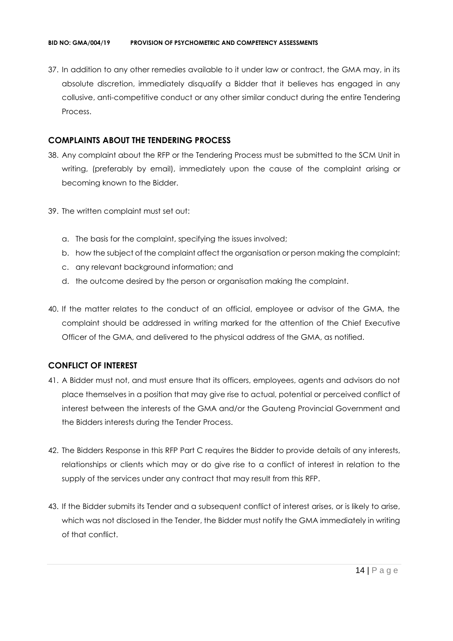37. In addition to any other remedies available to it under law or contract, the GMA may, in its absolute discretion, immediately disqualify a Bidder that it believes has engaged in any collusive, anti-competitive conduct or any other similar conduct during the entire Tendering Process.

# **COMPLAINTS ABOUT THE TENDERING PROCESS**

- 38. Any complaint about the RFP or the Tendering Process must be submitted to the SCM Unit in writing, (preferably by email), immediately upon the cause of the complaint arising or becoming known to the Bidder.
- 39. The written complaint must set out:
	- a. The basis for the complaint, specifying the issues involved;
	- b. how the subject of the complaint affect the organisation or person making the complaint;
	- c. any relevant background information; and
	- d. the outcome desired by the person or organisation making the complaint.
- 40. If the matter relates to the conduct of an official, employee or advisor of the GMA, the complaint should be addressed in writing marked for the attention of the Chief Executive Officer of the GMA, and delivered to the physical address of the GMA, as notified.

# **CONFLICT OF INTEREST**

- 41. A Bidder must not, and must ensure that its officers, employees, agents and advisors do not place themselves in a position that may give rise to actual, potential or perceived conflict of interest between the interests of the GMA and/or the Gauteng Provincial Government and the Bidders interests during the Tender Process.
- 42. The Bidders Response in this RFP Part C requires the Bidder to provide details of any interests, relationships or clients which may or do give rise to a conflict of interest in relation to the supply of the services under any contract that may result from this RFP.
- 43. If the Bidder submits its Tender and a subsequent conflict of interest arises, or is likely to arise, which was not disclosed in the Tender, the Bidder must notify the GMA immediately in writing of that conflict.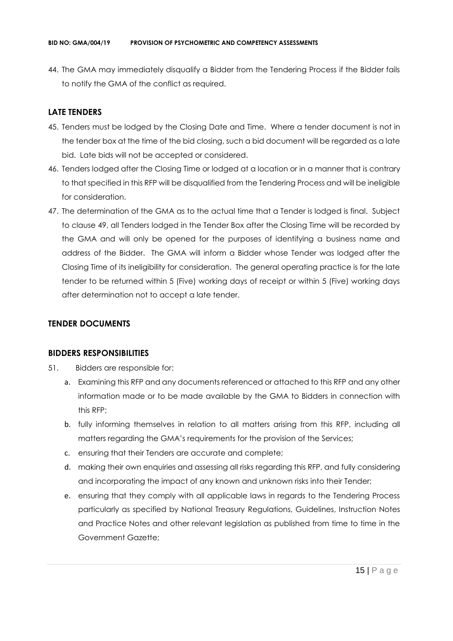44. The GMA may immediately disqualify a Bidder from the Tendering Process if the Bidder fails to notify the GMA of the conflict as required.

# **LATE TENDERS**

- 45. Tenders must be lodged by the Closing Date and Time. Where a tender document is not in the tender box at the time of the bid closing, such a bid document will be regarded as a late bid. Late bids will not be accepted or considered.
- 46. Tenders lodged after the Closing Time or lodged at a location or in a manner that is contrary to that specified in this RFP will be disqualified from the Tendering Process and will be ineligible for consideration.
- 47. The determination of the GMA as to the actual time that a Tender is lodged is final. Subject to clause 49, all Tenders lodged in the Tender Box after the Closing Time will be recorded by the GMA and will only be opened for the purposes of identifying a business name and address of the Bidder. The GMA will inform a Bidder whose Tender was lodged after the Closing Time of its ineligibility for consideration. The general operating practice is for the late tender to be returned within 5 (Five) working days of receipt or within 5 (Five) working days after determination not to accept a late tender.

# **TENDER DOCUMENTS**

# **BIDDERS RESPONSIBILITIES**

- 51. Bidders are responsible for:
	- a. Examining this RFP and any documents referenced or attached to this RFP and any other information made or to be made available by the GMA to Bidders in connection with this RFP;
	- b. fully informing themselves in relation to all matters arising from this RFP, including all matters regarding the GMA's requirements for the provision of the Services;
	- c. ensuring that their Tenders are accurate and complete;
	- d. making their own enquiries and assessing all risks regarding this RFP, and fully considering and incorporating the impact of any known and unknown risks into their Tender;
	- e. ensuring that they comply with all applicable laws in regards to the Tendering Process particularly as specified by National Treasury Regulations, Guidelines, Instruction Notes and Practice Notes and other relevant legislation as published from time to time in the Government Gazette;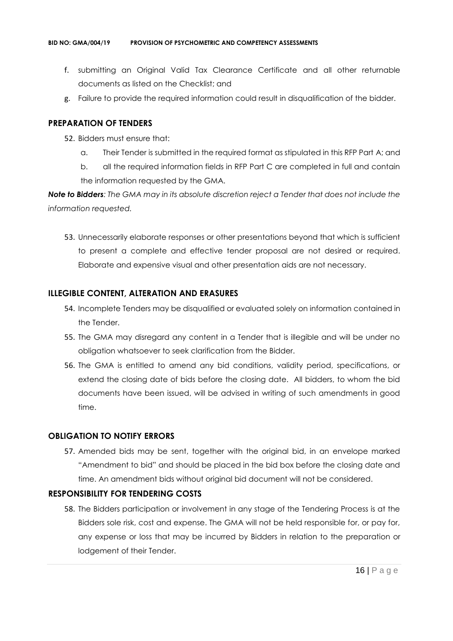- f. submitting an Original Valid Tax Clearance Certificate and all other returnable documents as listed on the Checklist; and
- g. Failure to provide the required information could result in disqualification of the bidder.

## **PREPARATION OF TENDERS**

- 52. Bidders must ensure that:
	- a. Their Tender is submitted in the required format as stipulated in this RFP Part A; and
	- b. all the required information fields in RFP Part C are completed in full and contain the information requested by the GMA.

*Note to Bidders: The GMA may in its absolute discretion reject a Tender that does not include the information requested.*

53. Unnecessarily elaborate responses or other presentations beyond that which is sufficient to present a complete and effective tender proposal are not desired or required. Elaborate and expensive visual and other presentation aids are not necessary.

# **ILLEGIBLE CONTENT, ALTERATION AND ERASURES**

- 54. Incomplete Tenders may be disqualified or evaluated solely on information contained in the Tender.
- 55. The GMA may disregard any content in a Tender that is illegible and will be under no obligation whatsoever to seek clarification from the Bidder.
- 56. The GMA is entitled to amend any bid conditions, validity period, specifications, or extend the closing date of bids before the closing date. All bidders, to whom the bid documents have been issued, will be advised in writing of such amendments in good time.

# **OBLIGATION TO NOTIFY ERRORS**

57. Amended bids may be sent, together with the original bid, in an envelope marked "Amendment to bid" and should be placed in the bid box before the closing date and time. An amendment bids without original bid document will not be considered.

# **RESPONSIBILITY FOR TENDERING COSTS**

58. The Bidders participation or involvement in any stage of the Tendering Process is at the Bidders sole risk, cost and expense. The GMA will not be held responsible for, or pay for, any expense or loss that may be incurred by Bidders in relation to the preparation or lodgement of their Tender.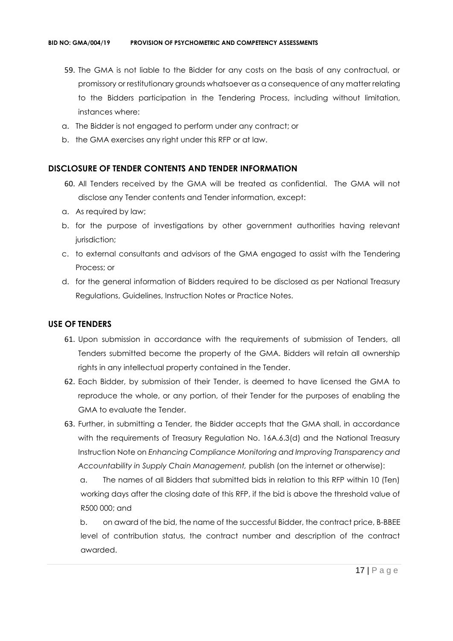- 59. The GMA is not liable to the Bidder for any costs on the basis of any contractual, or promissory or restitutionary grounds whatsoever as a consequence of any matter relating to the Bidders participation in the Tendering Process, including without limitation, instances where:
- a. The Bidder is not engaged to perform under any contract; or
- b. the GMA exercises any right under this RFP or at law.

# **DISCLOSURE OF TENDER CONTENTS AND TENDER INFORMATION**

- 60. All Tenders received by the GMA will be treated as confidential. The GMA will not disclose any Tender contents and Tender information, except:
- a. As required by law;
- b. for the purpose of investigations by other government authorities having relevant jurisdiction;
- c. to external consultants and advisors of the GMA engaged to assist with the Tendering Process; or
- d. for the general information of Bidders required to be disclosed as per National Treasury Regulations, Guidelines, Instruction Notes or Practice Notes.

# **USE OF TENDERS**

- 61. Upon submission in accordance with the requirements of submission of Tenders, all Tenders submitted become the property of the GMA. Bidders will retain all ownership rights in any intellectual property contained in the Tender.
- 62. Each Bidder, by submission of their Tender, is deemed to have licensed the GMA to reproduce the whole, or any portion, of their Tender for the purposes of enabling the GMA to evaluate the Tender.
- 63. Further, in submitting a Tender, the Bidder accepts that the GMA shall, in accordance with the requirements of Treasury Regulation No. 16A.6.3(d) and the National Treasury Instruction Note on *Enhancing Compliance Monitoring and Improving Transparency and Accountability in Supply Chain Management,* publish (on the internet or otherwise):

a. The names of all Bidders that submitted bids in relation to this RFP within 10 (Ten) working days after the closing date of this RFP, if the bid is above the threshold value of R500 000; and

b. on award of the bid, the name of the successful Bidder, the contract price, B-BBEE level of contribution status, the contract number and description of the contract awarded.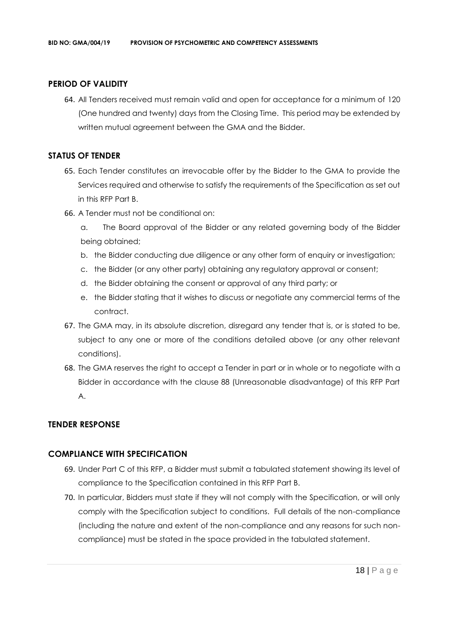# **PERIOD OF VALIDITY**

64. All Tenders received must remain valid and open for acceptance for a minimum of 120 (One hundred and twenty) days from the Closing Time. This period may be extended by written mutual agreement between the GMA and the Bidder.

# **STATUS OF TENDER**

- 65. Each Tender constitutes an irrevocable offer by the Bidder to the GMA to provide the Services required and otherwise to satisfy the requirements of the Specification as set out in this RFP Part B.
- 66. A Tender must not be conditional on:
	- a. The Board approval of the Bidder or any related governing body of the Bidder being obtained;
	- b. the Bidder conducting due diligence or any other form of enquiry or investigation;
	- c. the Bidder (or any other party) obtaining any regulatory approval or consent;
	- d. the Bidder obtaining the consent or approval of any third party; or
	- e. the Bidder stating that it wishes to discuss or negotiate any commercial terms of the contract.
- 67. The GMA may, in its absolute discretion, disregard any tender that is, or is stated to be, subject to any one or more of the conditions detailed above (or any other relevant conditions).
- 68. The GMA reserves the right to accept a Tender in part or in whole or to negotiate with a Bidder in accordance with the clause 88 (Unreasonable disadvantage) of this RFP Part A.

# **TENDER RESPONSE**

# **COMPLIANCE WITH SPECIFICATION**

- 69. Under Part C of this RFP, a Bidder must submit a tabulated statement showing its level of compliance to the Specification contained in this RFP Part B.
- 70. In particular, Bidders must state if they will not comply with the Specification, or will only comply with the Specification subject to conditions. Full details of the non-compliance (including the nature and extent of the non-compliance and any reasons for such noncompliance) must be stated in the space provided in the tabulated statement.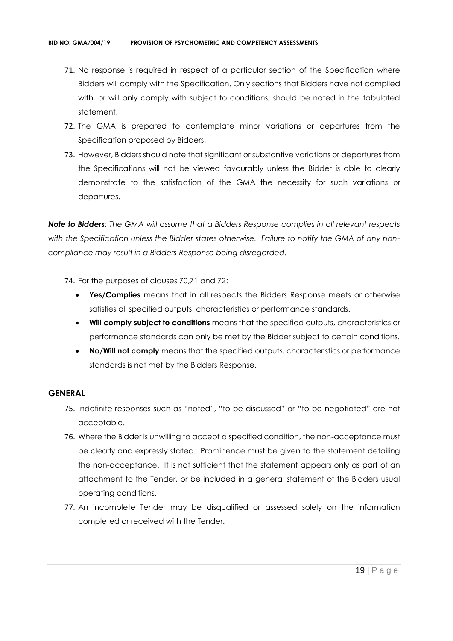- 71. No response is required in respect of a particular section of the Specification where Bidders will comply with the Specification. Only sections that Bidders have not complied with, or will only comply with subject to conditions, should be noted in the tabulated statement.
- 72. The GMA is prepared to contemplate minor variations or departures from the Specification proposed by Bidders.
- 73. However, Bidders should note that significant or substantive variations or departures from the Specifications will not be viewed favourably unless the Bidder is able to clearly demonstrate to the satisfaction of the GMA the necessity for such variations or departures.

*Note to Bidders: The GMA will assume that a Bidders Response complies in all relevant respects with the Specification unless the Bidder states otherwise. Failure to notify the GMA of any noncompliance may result in a Bidders Response being disregarded.*

- 74. For the purposes of clauses 70,71 and 72:
	- **Yes/Complies** means that in all respects the Bidders Response meets or otherwise satisfies all specified outputs, characteristics or performance standards.
	- **Will comply subject to conditions** means that the specified outputs, characteristics or performance standards can only be met by the Bidder subject to certain conditions.
	- **No/Will not comply** means that the specified outputs, characteristics or performance standards is not met by the Bidders Response.

#### **GENERAL**

- 75. Indefinite responses such as "noted", "to be discussed" or "to be negotiated" are not acceptable.
- 76. Where the Bidder is unwilling to accept a specified condition, the non-acceptance must be clearly and expressly stated. Prominence must be given to the statement detailing the non-acceptance. It is not sufficient that the statement appears only as part of an attachment to the Tender, or be included in a general statement of the Bidders usual operating conditions.
- 77. An incomplete Tender may be disqualified or assessed solely on the information completed or received with the Tender.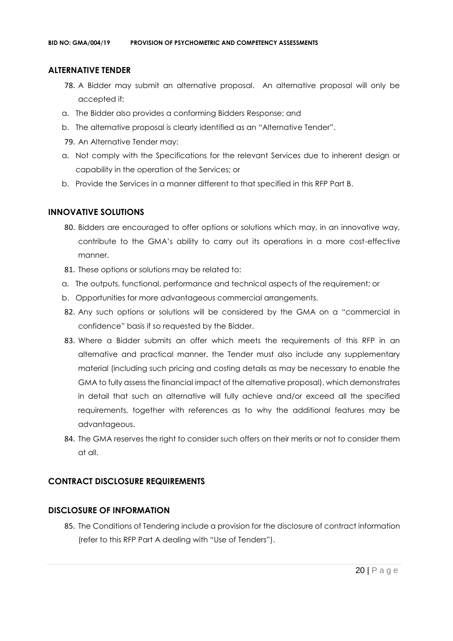# **ALTERNATIVE TENDER**

- 78. A Bidder may submit an alternative proposal. An alternative proposal will only be accepted if:
- a. The Bidder also provides a conforming Bidders Response; and
- b. The alternative proposal is clearly identified as an "Alternative Tender".
- 79. An Alternative Tender may:
- a. Not comply with the Specifications for the relevant Services due to inherent design or capability in the operation of the Services; or
- b. Provide the Services in a manner different to that specified in this RFP Part B.

# **INNOVATIVE SOLUTIONS**

- 80. Bidders are encouraged to offer options or solutions which may, in an innovative way, contribute to the GMA's ability to carry out its operations in a more cost-effective manner.
- 81. These options or solutions may be related to:
- a. The outputs, functional, performance and technical aspects of the requirement; or
- b. Opportunities for more advantageous commercial arrangements.
- 82. Any such options or solutions will be considered by the GMA on a "commercial in confidence" basis if so requested by the Bidder.
- 83. Where a Bidder submits an offer which meets the requirements of this RFP in an alternative and practical manner, the Tender must also include any supplementary material (including such pricing and costing details as may be necessary to enable the GMA to fully assess the financial impact of the alternative proposal), which demonstrates in detail that such an alternative will fully achieve and/or exceed all the specified requirements, together with references as to why the additional features may be advantageous.
- 84. The GMA reserves the right to consider such offers on their merits or not to consider them at all.

# **CONTRACT DISCLOSURE REQUIREMENTS**

# **DISCLOSURE OF INFORMATION**

85. The Conditions of Tendering include a provision for the disclosure of contract information (refer to this RFP Part A dealing with "Use of Tenders").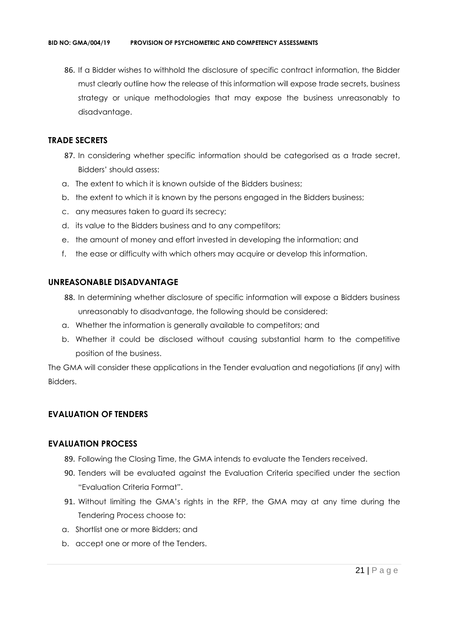86. If a Bidder wishes to withhold the disclosure of specific contract information, the Bidder must clearly outline how the release of this information will expose trade secrets, business strategy or unique methodologies that may expose the business unreasonably to disadvantage.

## **TRADE SECRETS**

- 87. In considering whether specific information should be categorised as a trade secret, Bidders' should assess:
- a. The extent to which it is known outside of the Bidders business;
- b. the extent to which it is known by the persons engaged in the Bidders business;
- c. any measures taken to guard its secrecy;
- d. its value to the Bidders business and to any competitors;
- e. the amount of money and effort invested in developing the information; and
- f. the ease or difficulty with which others may acquire or develop this information.

#### **UNREASONABLE DISADVANTAGE**

- 88. In determining whether disclosure of specific information will expose a Bidders business unreasonably to disadvantage, the following should be considered:
- a. Whether the information is generally available to competitors; and
- b. Whether it could be disclosed without causing substantial harm to the competitive position of the business.

The GMA will consider these applications in the Tender evaluation and negotiations (if any) with Bidders.

# **EVALUATION OF TENDERS**

#### **EVALUATION PROCESS**

- 89. Following the Closing Time, the GMA intends to evaluate the Tenders received.
- 90. Tenders will be evaluated against the Evaluation Criteria specified under the section "Evaluation Criteria Format".
- 91. Without limiting the GMA's rights in the RFP, the GMA may at any time during the Tendering Process choose to:
- a. Shortlist one or more Bidders; and
- b. accept one or more of the Tenders.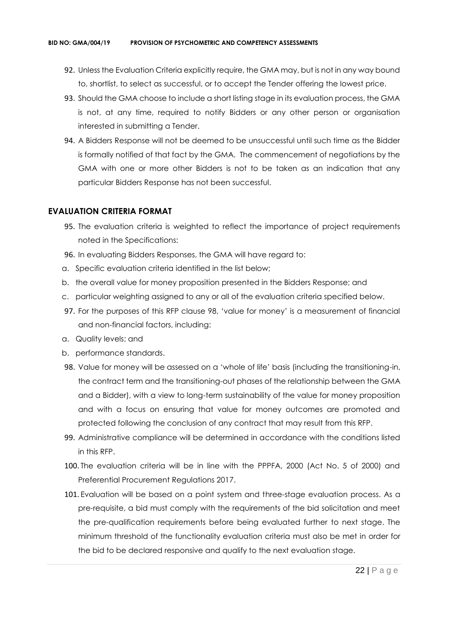- 92. Unless the Evaluation Criteria explicitly require, the GMA may, but is not in any way bound to, shortlist, to select as successful, or to accept the Tender offering the lowest price.
- 93. Should the GMA choose to include a short listing stage in its evaluation process, the GMA is not, at any time, required to notify Bidders or any other person or organisation interested in submitting a Tender.
- 94. A Bidders Response will not be deemed to be unsuccessful until such time as the Bidder is formally notified of that fact by the GMA. The commencement of negotiations by the GMA with one or more other Bidders is not to be taken as an indication that any particular Bidders Response has not been successful.

#### **EVALUATION CRITERIA FORMAT**

- 95. The evaluation criteria is weighted to reflect the importance of project requirements noted in the Specifications:
- 96. In evaluating Bidders Responses, the GMA will have regard to:
- a. Specific evaluation criteria identified in the list below;
- b. the overall value for money proposition presented in the Bidders Response; and
- c. particular weighting assigned to any or all of the evaluation criteria specified below.
- 97. For the purposes of this RFP clause 98, 'value for money' is a measurement of financial and non-financial factors, including:
- a. Quality levels; and
- b. performance standards.
- 98. Value for money will be assessed on a 'whole of life' basis (including the transitioning-in, the contract term and the transitioning-out phases of the relationship between the GMA and a Bidder), with a view to long-term sustainability of the value for money proposition and with a focus on ensuring that value for money outcomes are promoted and protected following the conclusion of any contract that may result from this RFP.
- 99. Administrative compliance will be determined in accordance with the conditions listed in this RFP.
- 100. The evaluation criteria will be in line with the PPPFA, 2000 (Act No. 5 of 2000) and Preferential Procurement Regulations 2017.
- 101. Evaluation will be based on a point system and three-stage evaluation process. As a pre-requisite, a bid must comply with the requirements of the bid solicitation and meet the pre-qualification requirements before being evaluated further to next stage. The minimum threshold of the functionality evaluation criteria must also be met in order for the bid to be declared responsive and qualify to the next evaluation stage.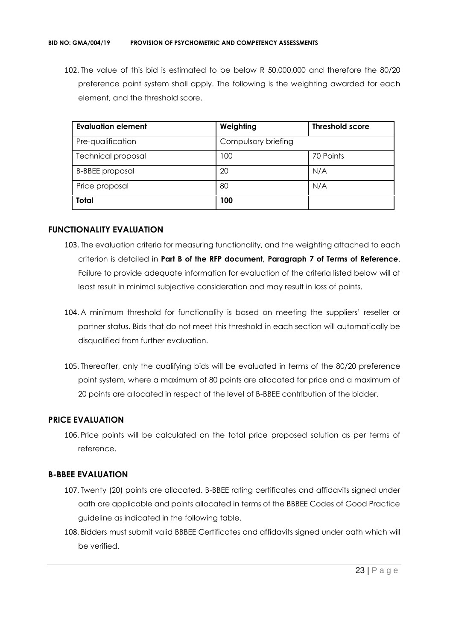102. The value of this bid is estimated to be below R 50,000,000 and therefore the 80/20 preference point system shall apply. The following is the weighting awarded for each element, and the threshold score.

| <b>Evaluation element</b> | Weighting           | <b>Threshold score</b> |
|---------------------------|---------------------|------------------------|
| Pre-qualification         | Compulsory briefing |                        |
| <b>Technical proposal</b> | 100                 | 70 Points              |
| <b>B-BBEE</b> proposal    | 20                  | N/A                    |
| Price proposal            | 80                  | N/A                    |
| <b>Total</b>              | 100                 |                        |

## **FUNCTIONALITY EVALUATION**

- 103. The evaluation criteria for measuring functionality, and the weighting attached to each criterion is detailed in **Part B of the RFP document, Paragraph 7 of Terms of Reference**. Failure to provide adequate information for evaluation of the criteria listed below will at least result in minimal subjective consideration and may result in loss of points.
- 104. A minimum threshold for functionality is based on meeting the suppliers' reseller or partner status. Bids that do not meet this threshold in each section will automatically be disqualified from further evaluation.
- 105. Thereafter, only the qualifying bids will be evaluated in terms of the 80/20 preference point system, where a maximum of 80 points are allocated for price and a maximum of 20 points are allocated in respect of the level of B-BBEE contribution of the bidder.

# **PRICE EVALUATION**

106. Price points will be calculated on the total price proposed solution as per terms of reference.

# **B-BBEE EVALUATION**

- 107. Twenty (20) points are allocated. B-BBEE rating certificates and affidavits signed under oath are applicable and points allocated in terms of the BBBEE Codes of Good Practice guideline as indicated in the following table.
- 108. Bidders must submit valid BBBEE Certificates and affidavits signed under oath which will be verified.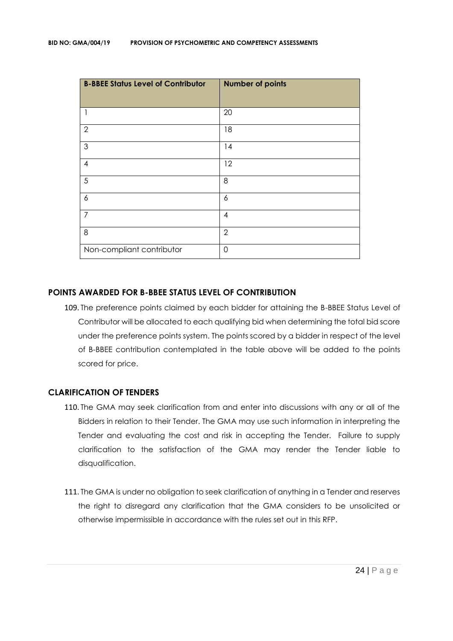| <b>B-BBEE Status Level of Contributor</b> | <b>Number of points</b> |
|-------------------------------------------|-------------------------|
| $\mathbf{1}$                              | 20                      |
| $\overline{2}$                            | 18                      |
| $\mathfrak{S}$                            | 14                      |
| $\overline{\mathcal{A}}$                  | 12                      |
| 5                                         | 8                       |
| 6                                         | 6                       |
| $\overline{7}$                            | $\overline{4}$          |
| 8                                         | $\overline{2}$          |
| Non-compliant contributor                 | $\mathbf 0$             |

## **POINTS AWARDED FOR B-BBEE STATUS LEVEL OF CONTRIBUTION**

109. The preference points claimed by each bidder for attaining the B-BBEE Status Level of Contributor will be allocated to each qualifying bid when determining the total bid score under the preference points system. The points scored by a bidder in respect of the level of B-BBEE contribution contemplated in the table above will be added to the points scored for price.

#### **CLARIFICATION OF TENDERS**

- 110. The GMA may seek clarification from and enter into discussions with any or all of the Bidders in relation to their Tender. The GMA may use such information in interpreting the Tender and evaluating the cost and risk in accepting the Tender. Failure to supply clarification to the satisfaction of the GMA may render the Tender liable to disqualification.
- 111. The GMA is under no obligation to seek clarification of anything in a Tender and reserves the right to disregard any clarification that the GMA considers to be unsolicited or otherwise impermissible in accordance with the rules set out in this RFP.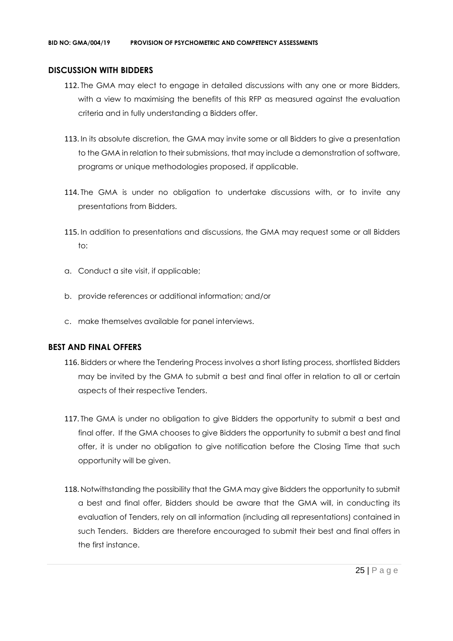#### **DISCUSSION WITH BIDDERS**

- 112. The GMA may elect to engage in detailed discussions with any one or more Bidders, with a view to maximising the benefits of this RFP as measured against the evaluation criteria and in fully understanding a Bidders offer.
- 113. In its absolute discretion, the GMA may invite some or all Bidders to give a presentation to the GMA in relation to their submissions, that may include a demonstration of software, programs or unique methodologies proposed, if applicable.
- 114. The GMA is under no obligation to undertake discussions with, or to invite any presentations from Bidders.
- 115. In addition to presentations and discussions, the GMA may request some or all Bidders to:
- a. Conduct a site visit, if applicable;
- b. provide references or additional information; and/or
- c. make themselves available for panel interviews.

# **BEST AND FINAL OFFERS**

- 116. Bidders or where the Tendering Process involves a short listing process, shortlisted Bidders may be invited by the GMA to submit a best and final offer in relation to all or certain aspects of their respective Tenders.
- 117. The GMA is under no obligation to give Bidders the opportunity to submit a best and final offer. If the GMA chooses to give Bidders the opportunity to submit a best and final offer, it is under no obligation to give notification before the Closing Time that such opportunity will be given.
- 118. Notwithstanding the possibility that the GMA may give Bidders the opportunity to submit a best and final offer, Bidders should be aware that the GMA will, in conducting its evaluation of Tenders, rely on all information (including all representations) contained in such Tenders. Bidders are therefore encouraged to submit their best and final offers in the first instance.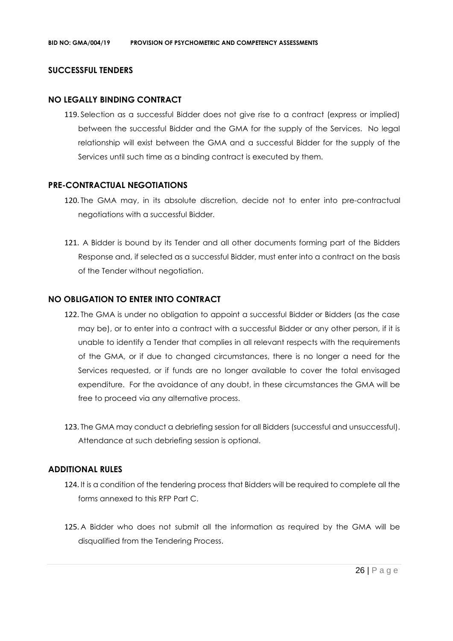#### **SUCCESSFUL TENDERS**

#### **NO LEGALLY BINDING CONTRACT**

119. Selection as a successful Bidder does not give rise to a contract (express or implied) between the successful Bidder and the GMA for the supply of the Services. No legal relationship will exist between the GMA and a successful Bidder for the supply of the Services until such time as a binding contract is executed by them.

#### **PRE-CONTRACTUAL NEGOTIATIONS**

- 120. The GMA may, in its absolute discretion, decide not to enter into pre-contractual negotiations with a successful Bidder.
- 121. A Bidder is bound by its Tender and all other documents forming part of the Bidders Response and, if selected as a successful Bidder, must enter into a contract on the basis of the Tender without negotiation.

#### **NO OBLIGATION TO ENTER INTO CONTRACT**

- 122. The GMA is under no obligation to appoint a successful Bidder or Bidders (as the case may be), or to enter into a contract with a successful Bidder or any other person, if it is unable to identify a Tender that complies in all relevant respects with the requirements of the GMA, or if due to changed circumstances, there is no longer a need for the Services requested, or if funds are no longer available to cover the total envisaged expenditure. For the avoidance of any doubt, in these circumstances the GMA will be free to proceed via any alternative process.
- 123. The GMA may conduct a debriefing session for all Bidders (successful and unsuccessful). Attendance at such debriefing session is optional.

#### **ADDITIONAL RULES**

- 124. It is a condition of the tendering process that Bidders will be required to complete all the forms annexed to this RFP Part C.
- 125. A Bidder who does not submit all the information as required by the GMA will be disqualified from the Tendering Process.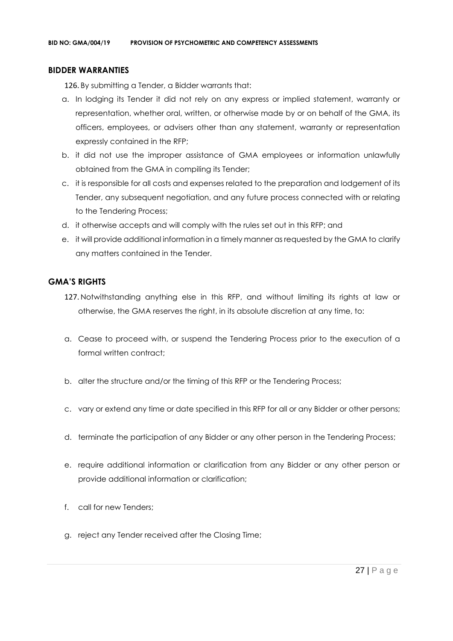#### **BIDDER WARRANTIES**

126. By submitting a Tender, a Bidder warrants that:

- a. In lodging its Tender it did not rely on any express or implied statement, warranty or representation, whether oral, written, or otherwise made by or on behalf of the GMA, its officers, employees, or advisers other than any statement, warranty or representation expressly contained in the RFP;
- b. it did not use the improper assistance of GMA employees or information unlawfully obtained from the GMA in compiling its Tender;
- c. it is responsible for all costs and expenses related to the preparation and lodgement of its Tender, any subsequent negotiation, and any future process connected with or relating to the Tendering Process;
- d. it otherwise accepts and will comply with the rules set out in this RFP; and
- e. it will provide additional information in a timely manner as requested by the GMA to clarify any matters contained in the Tender.

# **GMA'S RIGHTS**

- 127. Notwithstanding anything else in this RFP, and without limiting its rights at law or otherwise, the GMA reserves the right, in its absolute discretion at any time, to:
- a. Cease to proceed with, or suspend the Tendering Process prior to the execution of a formal written contract:
- b. alter the structure and/or the timing of this RFP or the Tendering Process;
- c. vary or extend any time or date specified in this RFP for all or any Bidder or other persons;
- d. terminate the participation of any Bidder or any other person in the Tendering Process;
- e. require additional information or clarification from any Bidder or any other person or provide additional information or clarification;
- f. call for new Tenders;
- g. reject any Tender received after the Closing Time;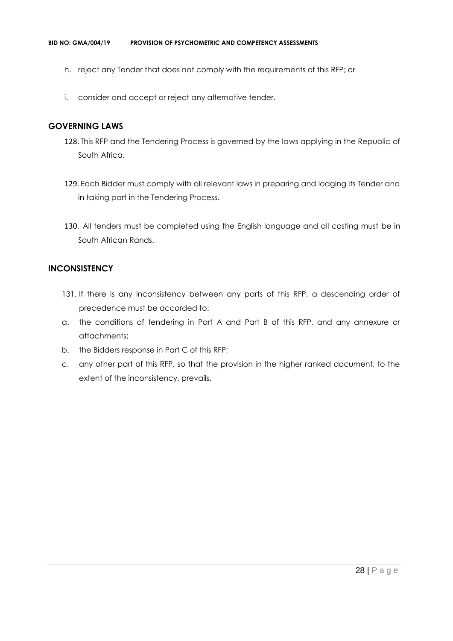- h. reject any Tender that does not comply with the requirements of this RFP; or
- i. consider and accept or reject any alternative tender.

#### **GOVERNING LAWS**

- 128. This RFP and the Tendering Process is governed by the laws applying in the Republic of South Africa.
- 129. Each Bidder must comply with all relevant laws in preparing and lodging its Tender and in taking part in the Tendering Process.
- 130. All tenders must be completed using the English language and all costing must be in South African Rands.

## **INCONSISTENCY**

- 131. If there is any inconsistency between any parts of this RFP, a descending order of precedence must be accorded to:
- a. the conditions of tendering in Part A and Part B of this RFP, and any annexure or attachments;
- b. the Bidders response in Part C of this RFP;
- c. any other part of this RFP, so that the provision in the higher ranked document, to the extent of the inconsistency, prevails.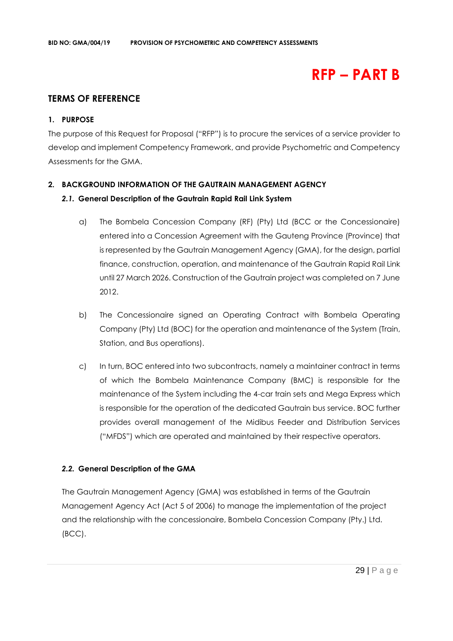# **RFP – PART B**

# **TERMS OF REFERENCE**

#### **1. PURPOSE**

The purpose of this Request for Proposal ("RFP") is to procure the services of a service provider to develop and implement Competency Framework, and provide Psychometric and Competency Assessments for the GMA.

#### **2. BACKGROUND INFORMATION OF THE GAUTRAIN MANAGEMENT AGENCY**

#### *2.1.* **General Description of the Gautrain Rapid Rail Link System**

- a) The Bombela Concession Company (RF) (Pty) Ltd (BCC or the Concessionaire) entered into a Concession Agreement with the Gauteng Province (Province) that is represented by the Gautrain Management Agency (GMA), for the design, partial finance, construction, operation, and maintenance of the Gautrain Rapid Rail Link until 27 March 2026. Construction of the Gautrain project was completed on 7 June 2012.
- b) The Concessionaire signed an Operating Contract with Bombela Operating Company (Pty) Ltd (BOC) for the operation and maintenance of the System (Train, Station, and Bus operations).
- c) In turn, BOC entered into two subcontracts, namely a maintainer contract in terms of which the Bombela Maintenance Company (BMC) is responsible for the maintenance of the System including the 4-car train sets and Mega Express which is responsible for the operation of the dedicated Gautrain bus service. BOC further provides overall management of the Midibus Feeder and Distribution Services ("MFDS") which are operated and maintained by their respective operators.

#### *2.2.* **General Description of the GMA**

The Gautrain Management Agency (GMA) was established in terms of the Gautrain Management Agency Act (Act 5 of 2006) to manage the implementation of the project and the relationship with the concessionaire, Bombela Concession Company (Pty.) Ltd. (BCC).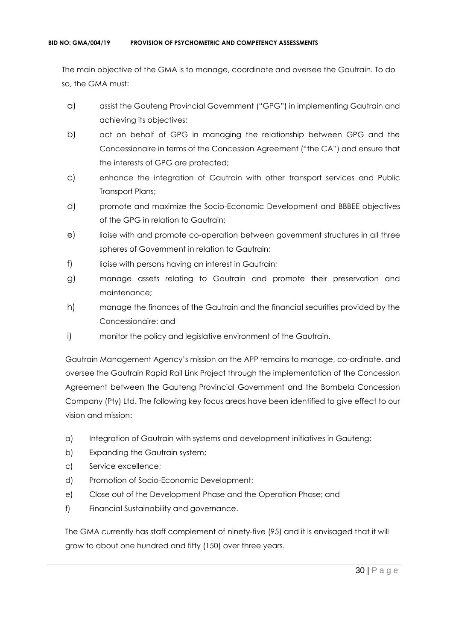The main objective of the GMA is to manage, coordinate and oversee the Gautrain. To do so, the GMA must:

- a) assist the Gauteng Provincial Government ("GPG") in implementing Gautrain and achieving its objectives;
- b) act on behalf of GPG in managing the relationship between GPG and the Concessionaire in terms of the Concession Agreement ("the CA") and ensure that the interests of GPG are protected;
- c) enhance the integration of Gautrain with other transport services and Public Transport Plans;
- d) promote and maximize the Socio-Economic Development and BBBEE objectives of the GPG in relation to Gautrain;
- e) liaise with and promote co-operation between government structures in all three spheres of Government in relation to Gautrain;
- f) liaise with persons having an interest in Gautrain;
- g) manage assets relating to Gautrain and promote their preservation and maintenance;
- h) manage the finances of the Gautrain and the financial securities provided by the Concessionaire; and
- i) monitor the policy and legislative environment of the Gautrain.

Gautrain Management Agency's mission on the APP remains to manage, co-ordinate, and oversee the Gautrain Rapid Rail Link Project through the implementation of the Concession Agreement between the Gauteng Provincial Government and the Bombela Concession Company (Pty) Ltd. The following key focus areas have been identified to give effect to our vision and mission:

- a) Integration of Gautrain with systems and development initiatives in Gauteng;
- b) Expanding the Gautrain system;
- c) Service excellence;
- d) Promotion of Socio-Economic Development;
- e) Close out of the Development Phase and the Operation Phase; and
- f) Financial Sustainability and governance.

The GMA currently has staff complement of ninety-five (95) and it is envisaged that it will grow to about one hundred and fifty (150) over three years.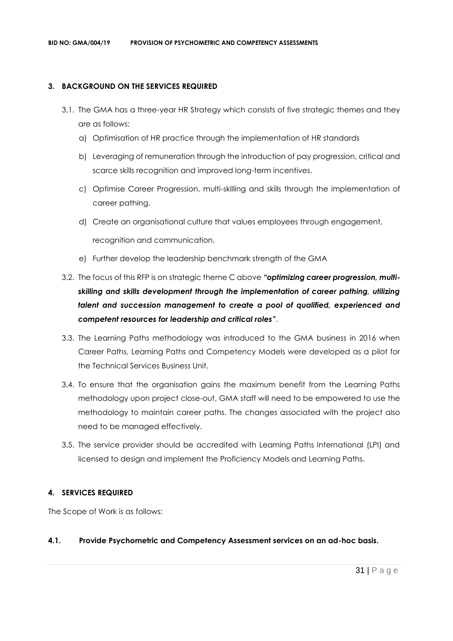#### **3. BACKGROUND ON THE SERVICES REQUIRED**

- 3.1. The GMA has a three-year HR Strategy which consists of five strategic themes and they are as follows:
	- a) Optimisation of HR practice through the implementation of HR standards
	- b) Leveraging of remuneration through the introduction of pay progression, critical and scarce skills recognition and improved long-term incentives.
	- c) Optimise Career Progression, multi-skilling and skills through the implementation of career pathing.
	- d) Create an organisational culture that values employees through engagement,

recognition and communication.

- e) Further develop the leadership benchmark strength of the GMA
- 3.2. The focus of this RFP is on strategic theme C above *"optimizing career progression, multiskilling and skills development through the implementation of career pathing, utilizing talent and succession management to create a pool of qualified, experienced and competent resources for leadership and critical roles"*.
- 3.3. The Learning Paths methodology was introduced to the GMA business in 2016 when Career Paths, Learning Paths and Competency Models were developed as a pilot for the Technical Services Business Unit.
- 3.4. To ensure that the organisation gains the maximum benefit from the Learning Paths methodology upon project close-out, GMA staff will need to be empowered to use the methodology to maintain career paths. The changes associated with the project also need to be managed effectively.
- 3.5. The service provider should be accredited with Learning Paths International (LPI) and licensed to design and implement the Proficiency Models and Learning Paths.

# **4. SERVICES REQUIRED**

The Scope of Work is as follows:

# **4.1. Provide Psychometric and Competency Assessment services on an ad-hoc basis.**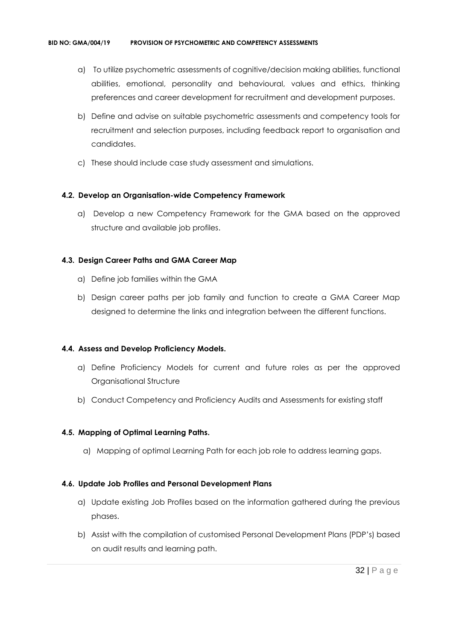- a) To utilize psychometric assessments of cognitive/decision making abilities, functional abilities, emotional, personality and behavioural, values and ethics, thinking preferences and career development for recruitment and development purposes.
- b) Define and advise on suitable psychometric assessments and competency tools for recruitment and selection purposes, including feedback report to organisation and candidates.
- c) These should include case study assessment and simulations.

#### **4.2. Develop an Organisation-wide Competency Framework**

a) Develop a new Competency Framework for the GMA based on the approved structure and available job profiles.

#### **4.3. Design Career Paths and GMA Career Map**

- a) Define job families within the GMA
- b) Design career paths per job family and function to create a GMA Career Map designed to determine the links and integration between the different functions.

# **4.4. Assess and Develop Proficiency Models.**

- a) Define Proficiency Models for current and future roles as per the approved Organisational Structure
- b) Conduct Competency and Proficiency Audits and Assessments for existing staff

# **4.5. Mapping of Optimal Learning Paths.**

a) Mapping of optimal Learning Path for each job role to address learning gaps.

#### **4.6. Update Job Profiles and Personal Development Plans**

- a) Update existing Job Profiles based on the information gathered during the previous phases.
- b) Assist with the compilation of customised Personal Development Plans (PDP's) based on audit results and learning path.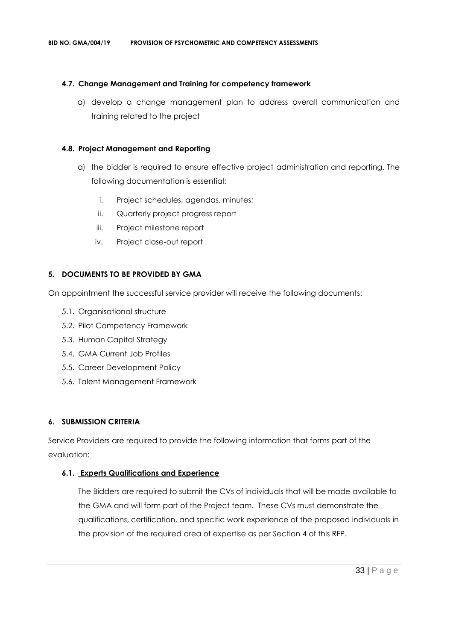### **4.7. Change Management and Training for competency framework**

a) develop a change management plan to address overall communication and training related to the project

#### **4.8. Project Management and Reporting**

- a) the bidder is required to ensure effective project administration and reporting. The following documentation is essential:
	- i. Project schedules, agendas, minutes;
	- ii. Quarterly project progress report
	- iii. Project milestone report
	- iv. Project close-out report

#### **5. DOCUMENTS TO BE PROVIDED BY GMA**

On appointment the successful service provider will receive the following documents:

- 5.1. Organisational structure
- 5.2. Pilot Competency Framework
- 5.3. Human Capital Strategy
- 5.4. GMA Current Job Profiles
- 5.5. Career Development Policy
- 5.6. Talent Management Framework

#### **6. SUBMISSION CRITERIA**

Service Providers are required to provide the following information that forms part of the evaluation:

# **6.1. Experts Qualifications and Experience**

The Bidders are required to submit the CVs of individuals that will be made available to the GMA and will form part of the Project team. These CVs must demonstrate the qualifications, certification, and specific work experience of the proposed individuals in the provision of the required area of expertise as per Section 4 of this RFP.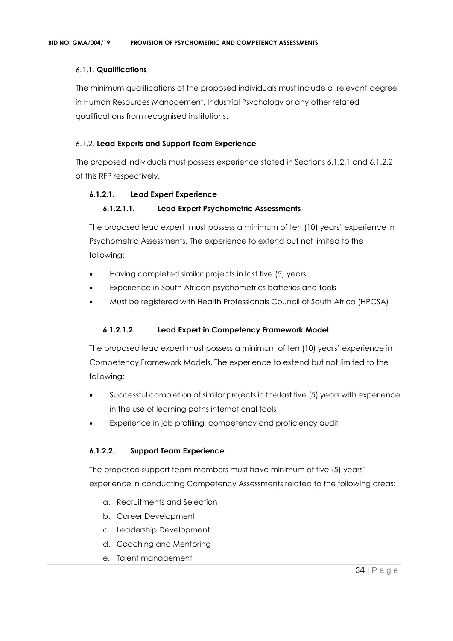## 6.1.1. **Qualifications**

The minimum qualifications of the proposed individuals must include a relevant degree in Human Resources Management, Industrial Psychology or any other related qualifications from recognised institutions.

#### 6.1.2. **Lead Experts and Support Team Experience**

The proposed individuals must possess experience stated in Sections 6.1.2.1 and 6.1.2.2 of this RFP respectively.

#### **6.1.2.1. Lead Expert Experience**

#### **6.1.2.1.1. Lead Expert Psychometric Assessments**

The proposed lead expert must possess a minimum of ten (10) years' experience in Psychometric Assessments. The experience to extend but not limited to the following:

- Having completed similar projects in last five (5) years
- Experience in South African psychometrics batteries and tools
- Must be registered with Health Professionals Council of South Africa (HPCSA)

#### **6.1.2.1.2. Lead Expert in Competency Framework Model**

The proposed lead expert must possess a minimum of ten (10) years' experience in Competency Framework Models. The experience to extend but not limited to the following:

- Successful completion of similar projects in the last five (5) years with experience in the use of learning paths international tools
- Experience in job profiling, competency and proficiency audit

#### **6.1.2.2. Support Team Experience**

The proposed support team members must have minimum of five (5) years' experience in conducting Competency Assessments related to the following areas:

- a. Recruitments and Selection
- b. Career Development
- c. Leadership Development
- d. Coaching and Mentoring
- e. Talent management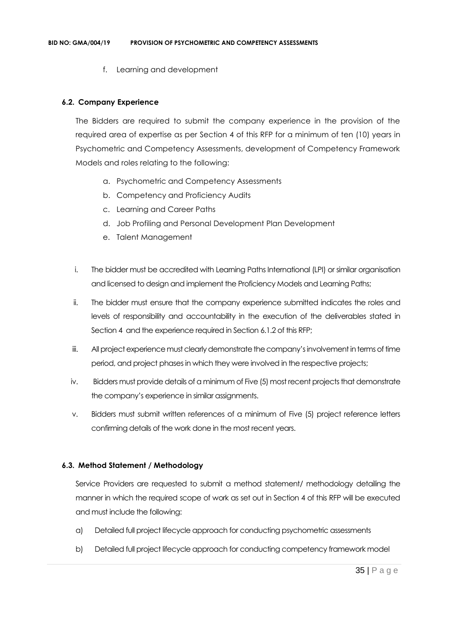f. Learning and development

#### **6.2. Company Experience**

The Bidders are required to submit the company experience in the provision of the required area of expertise as per Section 4 of this RFP for a minimum of ten (10) years in Psychometric and Competency Assessments, development of Competency Framework Models and roles relating to the following:

- a. Psychometric and Competency Assessments
- b. Competency and Proficiency Audits
- c. Learning and Career Paths
- d. Job Profiling and Personal Development Plan Development
- e. Talent Management
- i. The bidder must be accredited with Learning Paths International (LPI) or similar organisation and licensed to design and implement the Proficiency Models and Learning Paths;
- ii. The bidder must ensure that the company experience submitted indicates the roles and levels of responsibility and accountability in the execution of the deliverables stated in Section 4 and the experience required in Section 6.1.2 of this RFP;
- iii. All project experience must clearly demonstrate the company's involvement in terms of time period, and project phases in which they were involved in the respective projects;
- iv. Bidders must provide details of a minimum of Five (5) most recent projects that demonstrate the company's experience in similar assignments.
- v. Bidders must submit written references of a minimum of Five (5) project reference letters confirming details of the work done in the most recent years.

#### **6.3. Method Statement / Methodology**

Service Providers are requested to submit a method statement/ methodology detailing the manner in which the required scope of work as set out in Section 4 of this RFP will be executed and must include the following:

- a) Detailed full project lifecycle approach for conducting psychometric assessments
- b) Detailed full project lifecycle approach for conducting competency framework model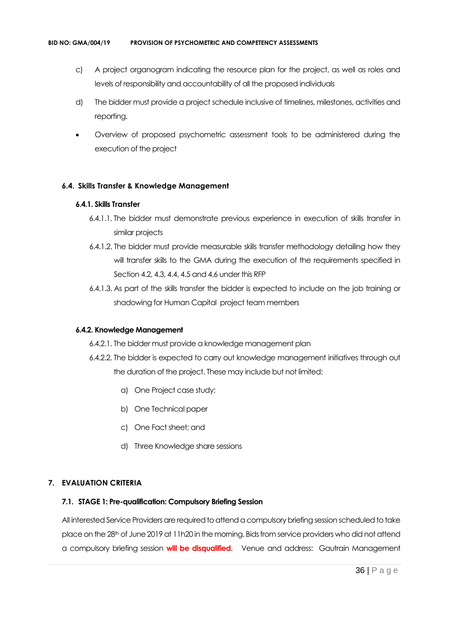- c) A project organogram indicating the resource plan for the project, as well as roles and levels of responsibility and accountability of all the proposed individuals
- d) The bidder must provide a project schedule inclusive of timelines, milestones, activities and reporting.
- Overview of proposed psychometric assessment tools to be administered during the execution of the project

#### **6.4. Skills Transfer & Knowledge Management**

#### **6.4.1. Skills Transfer**

- 6.4.1.1. The bidder must demonstrate previous experience in execution of skills transfer in similar projects
- 6.4.1.2. The bidder must provide measurable skills transfer methodology detailing how they will transfer skills to the GMA during the execution of the requirements specified in Section 4.2, 4.3, 4.4, 4.5 and 4.6 under this RFP
- 6.4.1.3. As part of the skills transfer the bidder is expected to include on the job training or shadowing for Human Capital project team members

#### **6.4.2. Knowledge Management**

- 6.4.2.1. The bidder must provide a knowledge management plan
- 6.4.2.2. The bidder is expected to carry out knowledge management initiatives through out the duration of the project. These may include but not limited:
	- a) One Project case study;
	- b) One Technical paper
	- c) One Fact sheet; and
	- d) Three Knowledge share sessions

# **7. EVALUATION CRITERIA**

#### **7.1. STAGE 1: Pre-qualification: Compulsory Briefing Session**

All interested Service Providers are required to attend a compulsory briefing session scheduled to take place on the 28th of June 2019 at 11h20 in the morning. Bids from service providers who did not attend a compulsory briefing session **will be disqualified**. Venue and address: Gautrain Management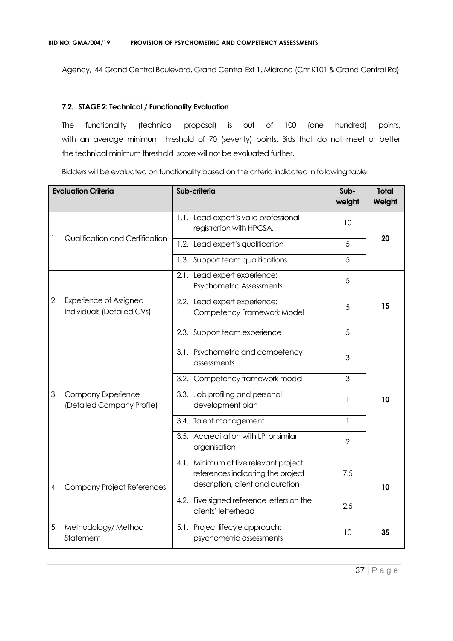Agency, 44 Grand Central Boulevard, Grand Central Ext 1, Midrand (Cnr K101 & Grand Central Rd)

#### **7.2. STAGE 2: Technical / Functionality Evaluation**

The functionality (technical proposal) is out of 100 (one hundred) points, with an average minimum threshold of 70 (seventy) points. Bids that do not meet or better the technical minimum threshold score will not be evaluated further.

Bidders will be evaluated on functionality based on the criteria indicated in following table:

|    | <b>Evaluation Criteria</b>                                  | Sub-criteria                                                                                                   | Sub-<br>weight | <b>Total</b><br>Weight |  |
|----|-------------------------------------------------------------|----------------------------------------------------------------------------------------------------------------|----------------|------------------------|--|
|    |                                                             | 1.1. Lead expert's valid professional<br>registration with HPCSA.                                              | 10             |                        |  |
| 1. | Qualification and Certification                             | 1.2. Lead expert's qualification                                                                               | 5              | 20                     |  |
|    |                                                             | 1.3. Support team qualifications                                                                               | 5              |                        |  |
|    |                                                             | 2.1. Lead expert experience:<br><b>Psychometric Assessments</b>                                                | 5              |                        |  |
| 2. | <b>Experience of Assigned</b><br>Individuals (Detailed CVs) | 2.2. Lead expert experience:<br>Competency Framework Model                                                     | 5              | 15                     |  |
|    |                                                             | 2.3. Support team experience                                                                                   | 5              |                        |  |
|    |                                                             | 3.1. Psychometric and competency<br>assessments                                                                | 3              |                        |  |
|    |                                                             | 3.2. Competency framework model                                                                                | 3              |                        |  |
| 3. | Company Experience<br>(Detailed Company Profile)            | Job profiling and personal<br>3.3.<br>development plan                                                         | 1              | 10                     |  |
|    |                                                             | 3.4. Talent management                                                                                         | $\mathbf{1}$   |                        |  |
|    |                                                             | 3.5. Accreditation with LPI or similar<br>organisation                                                         | $\overline{2}$ |                        |  |
| 4. | <b>Company Project References</b>                           | 4.1. Minimum of five relevant project<br>references indicating the project<br>description, client and duration | 7.5            | 10                     |  |
|    |                                                             | 4.2. Five signed reference letters on the<br>clients' letterhead                                               | 2.5            |                        |  |
| 5. | Methodology/Method<br>Statement                             | 5.1. Project lifecyle approach:<br>psychometric assessments                                                    | 10             | 35                     |  |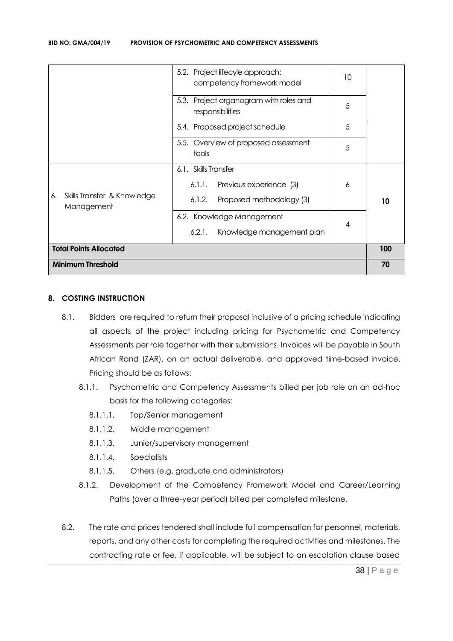| 5.2. Project lifecyle approach:<br>competency framework model |                                                            | 10                       |     |
|---------------------------------------------------------------|------------------------------------------------------------|--------------------------|-----|
|                                                               | 5.3. Project organogram with roles and<br>responsibilities | 5                        |     |
|                                                               | 5.4. Proposed project schedule                             | 5                        |     |
|                                                               | 5.5. Overview of proposed assessment<br>tools              | 5                        |     |
|                                                               | 6.1. Skills Transfer                                       |                          |     |
|                                                               | Previous experience (3)<br>6.1.1.                          | 6                        |     |
| Skills Transfer & Knowledge<br>6.<br>Management               | Proposed methodology (3)<br>6.1.2.                         |                          | 10  |
|                                                               | 6.2. Knowledge Management                                  | $\overline{\mathcal{A}}$ |     |
|                                                               | Knowledge management plan<br>6.2.1.                        |                          |     |
| <b>Total Points Allocated</b>                                 |                                                            |                          | 100 |
| <b>Minimum Threshold</b>                                      |                                                            |                          | 70  |

## **8. COSTING INSTRUCTION**

- 8.1. Bidders are required to return their proposal inclusive of a pricing schedule indicating all aspects of the project including pricing for Psychometric and Competency Assessments per role together with their submissions. Invoices will be payable in South African Rand (ZAR), on an actual deliverable, and approved time-based invoice. Pricing should be as follows:
	- 8.1.1. Psychometric and Competency Assessments billed per job role on an ad-hoc basis for the following categories:
		- 8.1.1.1. Top/Senior management
		- 8.1.1.2. Middle management
		- 8.1.1.3. Junior/supervisory management
		- 8.1.1.4. Specialists
		- 8.1.1.5. Others (e.g. graduate and administrators)
	- 8.1.2. Development of the Competency Framework Model and Career/Learning Paths (over a three-year period) billed per completed milestone.
- 8.2. The rate and prices tendered shall include full compensation for personnel, materials, reports, and any other costs for completing the required activities and milestones. The contracting rate or fee, if applicable, will be subject to an escalation clause based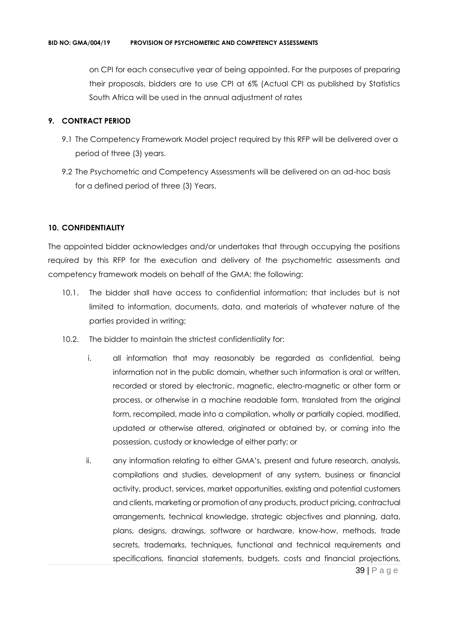on CPI for each consecutive year of being appointed. For the purposes of preparing their proposals, bidders are to use CPI at 6% (Actual CPI as published by Statistics South Africa will be used in the annual adjustment of rates

#### **9. CONTRACT PERIOD**

- 9.1 The Competency Framework Model project required by this RFP will be delivered over a period of three (3) years.
- 9.2 The Psychometric and Competency Assessments will be delivered on an ad-hoc basis for a defined period of three (3) Years.

### **10. CONFIDENTIALITY**

The appointed bidder acknowledges and/or undertakes that through occupying the positions required by this RFP for the execution and delivery of the psychometric assessments and competency framework models on behalf of the GMA; the following:

- 10.1. The bidder shall have access to confidential information; that includes but is not limited to information, documents, data, and materials of whatever nature of the parties provided in writing;
- 10.2. The bidder to maintain the strictest confidentiality for:
	- i. all information that may reasonably be regarded as confidential, being information not in the public domain, whether such information is oral or written, recorded or stored by electronic, magnetic, electro-magnetic or other form or process, or otherwise in a machine readable form, translated from the original form, recompiled, made into a compilation, wholly or partially copied, modified, updated or otherwise altered, originated or obtained by, or coming into the possession, custody or knowledge of either party; or
	- 39 | P a g e ii. any information relating to either GMA's, present and future research, analysis, compilations and studies, development of any system, business or financial activity, product, services, market opportunities, existing and potential customers and clients, marketing or promotion of any products, product pricing, contractual arrangements, technical knowledge, strategic objectives and planning, data, plans, designs, drawings, software or hardware, know-how, methods, trade secrets, trademarks, techniques, functional and technical requirements and specifications, financial statements, budgets, costs and financial projections,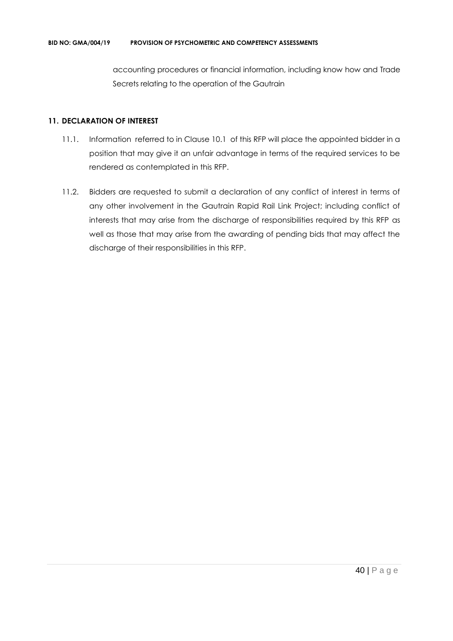accounting procedures or financial information, including know how and Trade Secrets relating to the operation of the Gautrain

#### **11. DECLARATION OF INTEREST**

- 11.1. Information referred to in Clause 10.1 of this RFP will place the appointed bidder in a position that may give it an unfair advantage in terms of the required services to be rendered as contemplated in this RFP.
- 11.2. Bidders are requested to submit a declaration of any conflict of interest in terms of any other involvement in the Gautrain Rapid Rail Link Project; including conflict of interests that may arise from the discharge of responsibilities required by this RFP as well as those that may arise from the awarding of pending bids that may affect the discharge of their responsibilities in this RFP.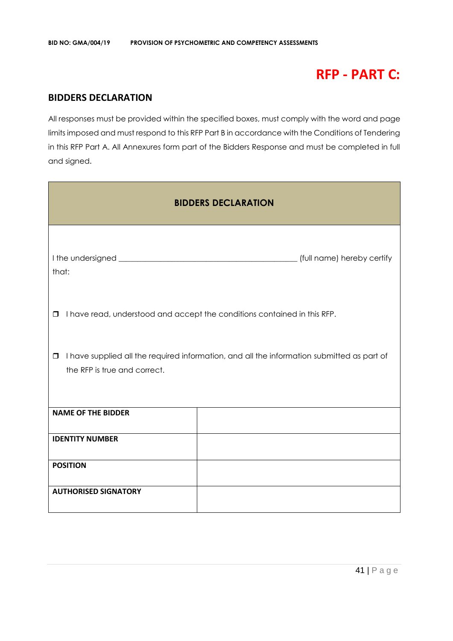# **RFP - PART C:**

# **BIDDERS DECLARATION**

All responses must be provided within the specified boxes, must comply with the word and page limits imposed and must respond to this RFP Part B in accordance with the Conditions of Tendering in this RFP Part A. All Annexures form part of the Bidders Response and must be completed in full and signed.

|                                        | <b>BIDDERS DECLARATION</b>                                                                 |
|----------------------------------------|--------------------------------------------------------------------------------------------|
| that:                                  | (full name) hereby certify                                                                 |
| $\Box$                                 | I have read, understood and accept the conditions contained in this RFP.                   |
| $\Box$<br>the RFP is true and correct. | I have supplied all the required information, and all the information submitted as part of |
| <b>NAME OF THE BIDDER</b>              |                                                                                            |
| <b>IDENTITY NUMBER</b>                 |                                                                                            |
| <b>POSITION</b>                        |                                                                                            |
| <b>AUTHORISED SIGNATORY</b>            |                                                                                            |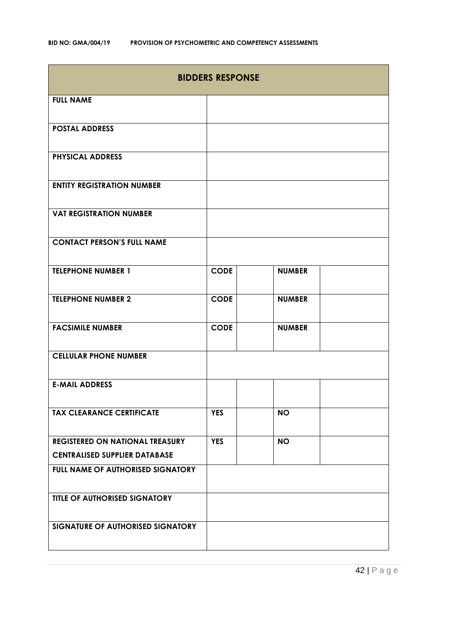| <b>BIDDERS RESPONSE</b>                |             |               |  |
|----------------------------------------|-------------|---------------|--|
| <b>FULL NAME</b>                       |             |               |  |
| <b>POSTAL ADDRESS</b>                  |             |               |  |
| <b>PHYSICAL ADDRESS</b>                |             |               |  |
| <b>ENTITY REGISTRATION NUMBER</b>      |             |               |  |
| <b>VAT REGISTRATION NUMBER</b>         |             |               |  |
| <b>CONTACT PERSON'S FULL NAME</b>      |             |               |  |
| <b>TELEPHONE NUMBER 1</b>              | <b>CODE</b> | <b>NUMBER</b> |  |
| <b>TELEPHONE NUMBER 2</b>              | <b>CODE</b> | <b>NUMBER</b> |  |
| <b>FACSIMILE NUMBER</b>                | <b>CODE</b> | <b>NUMBER</b> |  |
| <b>CELLULAR PHONE NUMBER</b>           |             |               |  |
| <b>E-MAIL ADDRESS</b>                  |             |               |  |
| <b>TAX CLEARANCE CERTIFICATE</b>       | <b>YES</b>  | <b>NO</b>     |  |
| <b>REGISTERED ON NATIONAL TREASURY</b> | <b>YES</b>  | <b>NO</b>     |  |
| <b>CENTRALISED SUPPLIER DATABASE</b>   |             |               |  |
| FULL NAME OF AUTHORISED SIGNATORY      |             |               |  |
| TITLE OF AUTHORISED SIGNATORY          |             |               |  |
| SIGNATURE OF AUTHORISED SIGNATORY      |             |               |  |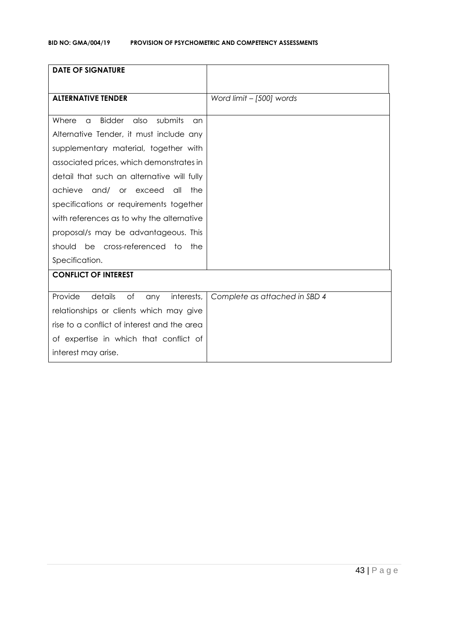| <b>DATE OF SIGNATURE</b>                                    |                               |
|-------------------------------------------------------------|-------------------------------|
| <b>ALTERNATIVE TENDER</b>                                   | Word limit - [500] words      |
|                                                             |                               |
| <b>Bidder</b><br>also<br>submits<br>Where<br>$\alpha$<br>an |                               |
| Alternative Tender, it must include any                     |                               |
| supplementary material, together with                       |                               |
| associated prices, which demonstrates in                    |                               |
| detail that such an alternative will fully                  |                               |
| achieve<br>and/<br>or exceed<br>the<br>all                  |                               |
| specifications or requirements together                     |                               |
| with references as to why the alternative                   |                               |
| proposal/s may be advantageous. This                        |                               |
| be cross-referenced to<br>should<br>the                     |                               |
| Specification.                                              |                               |
| <b>CONFLICT OF INTEREST</b>                                 |                               |
|                                                             |                               |
| Provide<br>details<br>of<br>interests,<br>any               | Complete as attached in SBD 4 |
| relationships or clients which may give                     |                               |
| rise to a conflict of interest and the area                 |                               |
| of expertise in which that conflict of                      |                               |
| interest may arise.                                         |                               |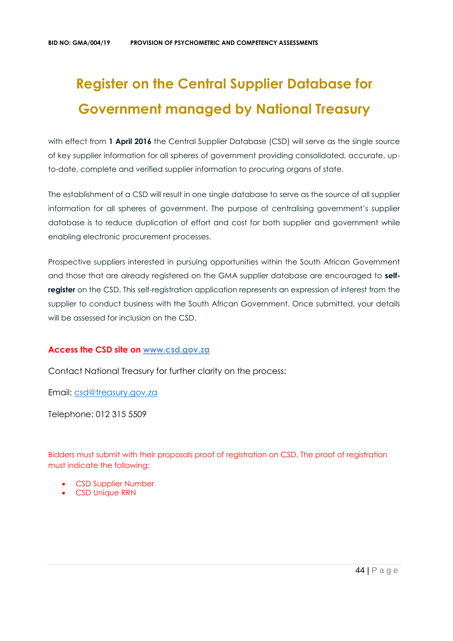# **Register on the Central Supplier Database for Government managed by National Treasury**

with effect from 1 April 2016 the Central Supplier Database (CSD) will serve as the single source of key supplier information for all spheres of government providing consolidated, accurate, upto-date, complete and verified supplier information to procuring organs of state.

The establishment of a CSD will result in one single database to serve as the source of all supplier information for all spheres of government. The purpose of centralising government's supplier database is to reduce duplication of effort and cost for both supplier and government while enabling electronic procurement processes.

Prospective suppliers interested in pursuing opportunities within the South African Government and those that are already registered on the GMA supplier database are encouraged to **selfregister** on the CSD. This self-registration application represents an expression of interest from the supplier to conduct business with the South African Government. Once submitted, your details will be assessed for inclusion on the CSD.

# **Access the CSD site on [www.csd.gov.za](http://www.csd.gov.za/)**

Contact National Treasury for further clarity on the process:

Email: [csd@treasury.gov.za](mailto:csd@treasury.gov.za)

Telephone: 012 315 5509

Bidders must submit with their proposals proof of registration on CSD. The proof of registration must indicate the following:

- CSD Supplier Number
- CSD Unique RRN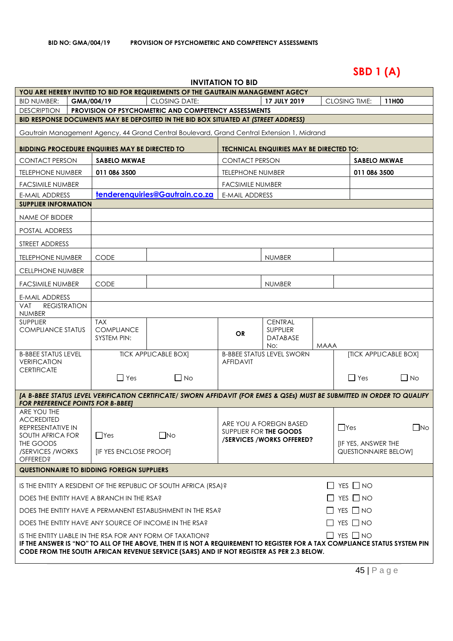# **SBD 1 (A)**

| <b>INVITATION TO BID</b> |  |
|--------------------------|--|
|--------------------------|--|

|                                                                                                                                                                                                                        |                                                                                    |                                                       | YOU ARE HEREBY INVITED TO BID FOR REQUIREMENTS OF THE GAUTRAIN MANAGEMENT AGECY                                          |                         |                                                    |      |                             |                       |  |
|------------------------------------------------------------------------------------------------------------------------------------------------------------------------------------------------------------------------|------------------------------------------------------------------------------------|-------------------------------------------------------|--------------------------------------------------------------------------------------------------------------------------|-------------------------|----------------------------------------------------|------|-----------------------------|-----------------------|--|
| <b>BID NUMBER:</b>                                                                                                                                                                                                     |                                                                                    | GMA/004/19                                            | <b>CLOSING DATE:</b>                                                                                                     |                         | 17 JULY 2019                                       |      | <b>CLOSING TIME:</b>        | 11H00                 |  |
| <b>DESCRIPTION</b>                                                                                                                                                                                                     |                                                                                    |                                                       | PROVISION OF PSYCHOMETRIC AND COMPETENCY ASSESSMENTS                                                                     |                         |                                                    |      |                             |                       |  |
|                                                                                                                                                                                                                        |                                                                                    |                                                       | BID RESPONSE DOCUMENTS MAY BE DEPOSITED IN THE BID BOX SITUATED AT (STREET ADDRESS)                                      |                         |                                                    |      |                             |                       |  |
|                                                                                                                                                                                                                        |                                                                                    |                                                       | Gautrain Management Agency, 44 Grand Central Boulevard, Grand Central Extension 1, Midrand                               |                         |                                                    |      |                             |                       |  |
|                                                                                                                                                                                                                        |                                                                                    | <b>BIDDING PROCEDURE ENQUIRIES MAY BE DIRECTED TO</b> |                                                                                                                          |                         | TECHNICAL ENQUIRIES MAY BE DIRECTED TO:            |      |                             |                       |  |
| <b>CONTACT PERSON</b>                                                                                                                                                                                                  |                                                                                    | <b>SABELO MKWAE</b>                                   |                                                                                                                          | <b>CONTACT PERSON</b>   |                                                    |      | <b>SABELO MKWAE</b>         |                       |  |
| <b>TELEPHONE NUMBER</b>                                                                                                                                                                                                |                                                                                    | 011 086 3500                                          |                                                                                                                          | <b>TELEPHONE NUMBER</b> |                                                    |      |                             | 011 086 3500          |  |
| FACSIMILE NUMBER                                                                                                                                                                                                       |                                                                                    |                                                       |                                                                                                                          | <b>FACSIMILE NUMBER</b> |                                                    |      |                             |                       |  |
| <b>E-MAIL ADDRESS</b>                                                                                                                                                                                                  |                                                                                    |                                                       | tenderenquiries@Gautrain.co.za                                                                                           | <b>E-MAIL ADDRESS</b>   |                                                    |      |                             |                       |  |
| <b>SUPPLIER INFORMATION</b>                                                                                                                                                                                            |                                                                                    |                                                       |                                                                                                                          |                         |                                                    |      |                             |                       |  |
| NAME OF BIDDER                                                                                                                                                                                                         |                                                                                    |                                                       |                                                                                                                          |                         |                                                    |      |                             |                       |  |
| POSTAL ADDRESS                                                                                                                                                                                                         |                                                                                    |                                                       |                                                                                                                          |                         |                                                    |      |                             |                       |  |
| STREET ADDRESS                                                                                                                                                                                                         |                                                                                    |                                                       |                                                                                                                          |                         |                                                    |      |                             |                       |  |
| <b>TELEPHONE NUMBER</b>                                                                                                                                                                                                |                                                                                    | CODE                                                  |                                                                                                                          |                         | <b>NUMBER</b>                                      |      |                             |                       |  |
| <b>CELLPHONE NUMBER</b>                                                                                                                                                                                                |                                                                                    |                                                       |                                                                                                                          |                         |                                                    |      |                             |                       |  |
| FACSIMILE NUMBER                                                                                                                                                                                                       |                                                                                    | <b>CODE</b>                                           |                                                                                                                          |                         | <b>NUMBER</b>                                      |      |                             |                       |  |
| E-MAIL ADDRESS                                                                                                                                                                                                         |                                                                                    |                                                       |                                                                                                                          |                         |                                                    |      |                             |                       |  |
| <b>REGISTRATION</b><br>VAT<br>NUMBER                                                                                                                                                                                   |                                                                                    |                                                       |                                                                                                                          |                         |                                                    |      |                             |                       |  |
| <b>SUPPLIER</b>                                                                                                                                                                                                        |                                                                                    | <b>TAX</b>                                            |                                                                                                                          |                         | <b>CENTRAL</b>                                     |      |                             |                       |  |
| <b>COMPLIANCE STATUS</b>                                                                                                                                                                                               |                                                                                    | <b>COMPLIANCE</b><br>SYSTEM PIN:                      |                                                                                                                          | <b>OR</b>               | SUPPLIER<br>DATABASE                               |      |                             |                       |  |
|                                                                                                                                                                                                                        |                                                                                    |                                                       |                                                                                                                          |                         | No:                                                | MAAA |                             |                       |  |
| <b>B-BBEE STATUS LEVEL</b><br><b>VERIFICATION</b>                                                                                                                                                                      |                                                                                    |                                                       | <b>TICK APPLICABLE BOX]</b>                                                                                              | <b>AFFIDAVIT</b>        | <b>B-BBEE STATUS LEVEL SWORN</b>                   |      |                             | [TICK APPLICABLE BOX] |  |
| <b>CERTIFICATE</b>                                                                                                                                                                                                     |                                                                                    | $\Box$ Yes                                            | $\Box$ No                                                                                                                |                         |                                                    |      | $\Box$ Yes                  | $\Box$ No             |  |
|                                                                                                                                                                                                                        |                                                                                    |                                                       |                                                                                                                          |                         |                                                    |      |                             |                       |  |
| <b>FOR PREFERENCE POINTS FOR B-BBEET</b>                                                                                                                                                                               |                                                                                    |                                                       | [A B-BBEE STATUS LEVEL VERIFICATION CERTIFICATE/ SWORN AFFIDAVIT (FOR EMES & QSEs) MUST BE SUBMITTED IN ORDER TO QUALIFY |                         |                                                    |      |                             |                       |  |
| ARE YOU THE                                                                                                                                                                                                            |                                                                                    |                                                       |                                                                                                                          |                         |                                                    |      |                             |                       |  |
| <b>ACCREDITED</b><br>REPRESENTATIVE IN                                                                                                                                                                                 |                                                                                    |                                                       |                                                                                                                          |                         | ARE YOU A FOREIGN BASED                            |      | $\Box$ Yes                  | $\Box$ No             |  |
| SOUTH AFRICA FOR                                                                                                                                                                                                       |                                                                                    | $\Box$ Yes                                            | $\square$ No                                                                                                             |                         | SUPPLIER FOR THE GOODS<br>/SERVICES/WORKS OFFERED? |      |                             |                       |  |
| THE GOODS<br>/SERVICES / WORKS                                                                                                                                                                                         |                                                                                    | <b>IF YES ENCLOSE PROOFI</b>                          |                                                                                                                          |                         |                                                    |      | <b>IF YES, ANSWER THE</b>   |                       |  |
| <b>OFFERED?</b>                                                                                                                                                                                                        |                                                                                    |                                                       |                                                                                                                          |                         |                                                    |      | <b>QUESTIONNAIRE BELOW]</b> |                       |  |
|                                                                                                                                                                                                                        |                                                                                    | <b>QUESTIONNAIRE TO BIDDING FOREIGN SUPPLIERS</b>     |                                                                                                                          |                         |                                                    |      |                             |                       |  |
|                                                                                                                                                                                                                        |                                                                                    |                                                       | IS THE ENTITY A RESIDENT OF THE REPUBLIC OF SOUTH AFRICA (RSA)?                                                          |                         |                                                    |      | $\Box$ YES $\Box$ NO        |                       |  |
| $\Box$ YES $\Box$ NO<br>DOES THE ENTITY HAVE A BRANCH IN THE RSA?                                                                                                                                                      |                                                                                    |                                                       |                                                                                                                          |                         |                                                    |      |                             |                       |  |
|                                                                                                                                                                                                                        | $\Box$ YES $\Box$ NO<br>DOES THE ENTITY HAVE A PERMANENT ESTABLISHMENT IN THE RSA? |                                                       |                                                                                                                          |                         |                                                    |      |                             |                       |  |
|                                                                                                                                                                                                                        |                                                                                    |                                                       | DOES THE ENTITY HAVE ANY SOURCE OF INCOME IN THE RSA?                                                                    |                         |                                                    |      | $\Box$ YES $\Box$ NO        |                       |  |
|                                                                                                                                                                                                                        | $\Box$ YES $\Box$ NO<br>IS THE ENTITY LIABLE IN THE RSA FOR ANY FORM OF TAXATION?  |                                                       |                                                                                                                          |                         |                                                    |      |                             |                       |  |
| IF THE ANSWER IS "NO" TO ALL OF THE ABOVE, THEN IT IS NOT A REQUIREMENT TO REGISTER FOR A TAX COMPLIANCE STATUS SYSTEM PIN<br>CODE FROM THE SOUTH AFRICAN REVENUE SERVICE (SARS) AND IF NOT REGISTER AS PER 2.3 BELOW. |                                                                                    |                                                       |                                                                                                                          |                         |                                                    |      |                             |                       |  |
|                                                                                                                                                                                                                        |                                                                                    |                                                       |                                                                                                                          |                         |                                                    |      |                             |                       |  |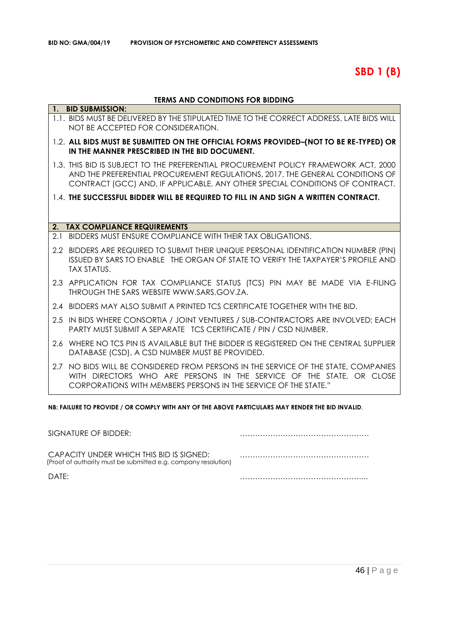# **SBD 1 (B)**

# **TERMS AND CONDITIONS FOR BIDDING**

|     | 1. BID SUBMISSION:                                                                                                                                                                                                                                   |
|-----|------------------------------------------------------------------------------------------------------------------------------------------------------------------------------------------------------------------------------------------------------|
|     | 1.1. BIDS MUST BE DELIVERED BY THE STIPULATED TIME TO THE CORRECT ADDRESS. LATE BIDS WILL<br>NOT BE ACCEPTED FOR CONSIDERATION.                                                                                                                      |
|     | 1.2. ALL BIDS MUST BE SUBMITTED ON THE OFFICIAL FORMS PROVIDED-(NOT TO BE RE-TYPED) OR<br>IN THE MANNER PRESCRIBED IN THE BID DOCUMENT.                                                                                                              |
|     | 1.3. THIS BID IS SUBJECT TO THE PREFERENTIAL PROCUREMENT POLICY FRAMEWORK ACT, 2000<br>AND THE PREFERENTIAL PROCUREMENT REGULATIONS, 2017, THE GENERAL CONDITIONS OF<br>CONTRACT (GCC) AND, IF APPLICABLE, ANY OTHER SPECIAL CONDITIONS OF CONTRACT. |
|     | 1.4. THE SUCCESSFUL BIDDER WILL BE REQUIRED TO FILL IN AND SIGN A WRITTEN CONTRACT.                                                                                                                                                                  |
|     |                                                                                                                                                                                                                                                      |
|     | 2. TAX COMPLIANCE REQUIREMENTS                                                                                                                                                                                                                       |
| 2.1 | BIDDERS MUST ENSURE COMPLIANCE WITH THEIR TAX OBLIGATIONS.                                                                                                                                                                                           |
|     | 2.2 BIDDERS ARE REQUIRED TO SUBMIT THEIR UNIQUE PERSONAL IDENTIFICATION NUMBER (PIN)<br>ISSUED BY SARS TO ENABLE THE ORGAN OF STATE TO VERIFY THE TAXPAYER'S PROFILE AND<br><b>TAX STATUS.</b>                                                       |
|     | 2.3 APPLICATION FOR TAX COMPLIANCE STATUS (TCS) PIN MAY BE MADE VIA E-FILING<br>THROUGH THE SARS WEBSITE WWW.SARS.GOV.ZA.                                                                                                                            |
|     | 2.4 BIDDERS MAY ALSO SUBMIT A PRINTED TCS CERTIFICATE TOGETHER WITH THE BID.                                                                                                                                                                         |
|     | 2.5 IN BIDS WHERE CONSORTIA / JOINT VENTURES / SUB-CONTRACTORS ARE INVOLVED; EACH<br>PARTY MUST SUBMIT A SEPARATE TCS CERTIFICATE / PIN / CSD NUMBER.                                                                                                |
| 2.6 | WHERE NO TCS PIN IS AVAILABLE BUT THE BIDDER IS REGISTERED ON THE CENTRAL SUPPLIER<br>DATABASE (CSD), A CSD NUMBER MUST BE PROVIDED.                                                                                                                 |
|     | 2.7 NO BIDS WILL BE CONSIDERED FROM PERSONS IN THE SERVICE OF THE STATE, COMPANIES<br>WITH DIRECTORS WHO ARE PERSONS IN THE SERVICE OF THE STATE, OR CLOSE<br>CORPORATIONS WITH MEMBERS PERSONS IN THE SERVICE OF THE STATE."                        |

**NB: FAILURE TO PROVIDE / OR COMPLY WITH ANY OF THE ABOVE PARTICULARS MAY RENDER THE BID INVALID**.

| SIGNATURE OF BIDDER:                                                                                       |  |
|------------------------------------------------------------------------------------------------------------|--|
| CAPACITY UNDER WHICH THIS BID IS SIGNED:<br>(Proof of authority must be submitted e.g. company resolution) |  |
| DATF:                                                                                                      |  |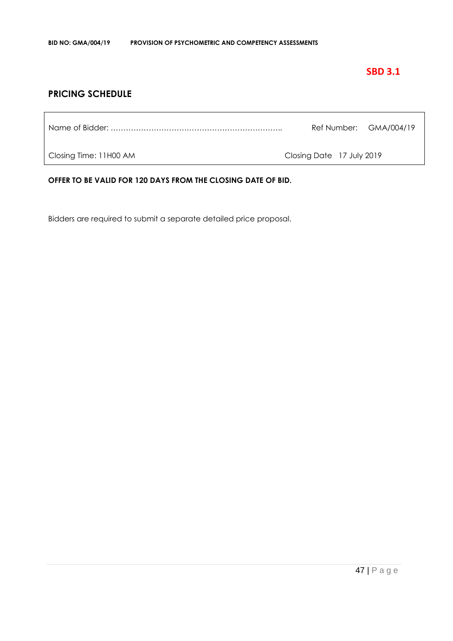# **SBD 3.1**

# **PRICING SCHEDULE**

Name of Bidder: ………………………………………………………….. Ref Number: GMA/004/19

Closing Time: 11H00 AM Closing Date 17 July 2019

**OFFER TO BE VALID FOR 120 DAYS FROM THE CLOSING DATE OF BID.**

Bidders are required to submit a separate detailed price proposal.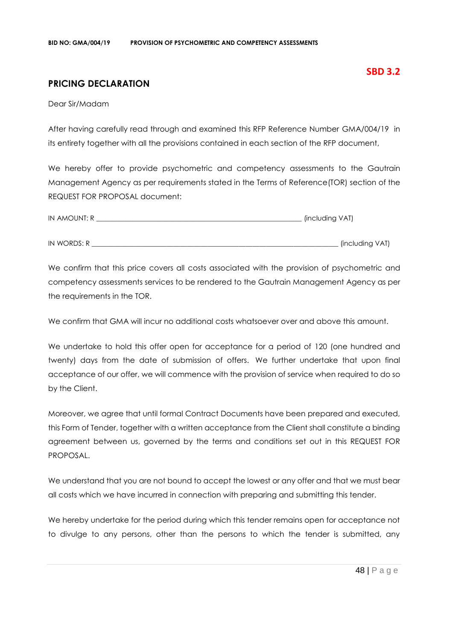# **PRICING DECLARATION**

Dear Sir/Madam

After having carefully read through and examined this RFP Reference Number GMA/004/19 in its entirety together with all the provisions contained in each section of the RFP document,

We hereby offer to provide psychometric and competency assessments to the Gautrain Management Agency as per requirements stated in the Terms of Reference(TOR) section of the REQUEST FOR PROPOSAL document:

| IN AMOUNT: R | (including VAT) |
|--------------|-----------------|
|              |                 |
| IN WORDS: R  | (including VAT) |

We confirm that this price covers all costs associated with the provision of psychometric and competency assessments services to be rendered to the Gautrain Management Agency as per the requirements in the TOR.

We confirm that GMA will incur no additional costs whatsoever over and above this amount.

We undertake to hold this offer open for acceptance for a period of 120 (one hundred and twenty) days from the date of submission of offers. We further undertake that upon final acceptance of our offer, we will commence with the provision of service when required to do so by the Client.

Moreover, we agree that until formal Contract Documents have been prepared and executed, this Form of Tender, together with a written acceptance from the Client shall constitute a binding agreement between us, governed by the terms and conditions set out in this REQUEST FOR PROPOSAL.

We understand that you are not bound to accept the lowest or any offer and that we must bear all costs which we have incurred in connection with preparing and submitting this tender.

We hereby undertake for the period during which this tender remains open for acceptance not to divulge to any persons, other than the persons to which the tender is submitted, any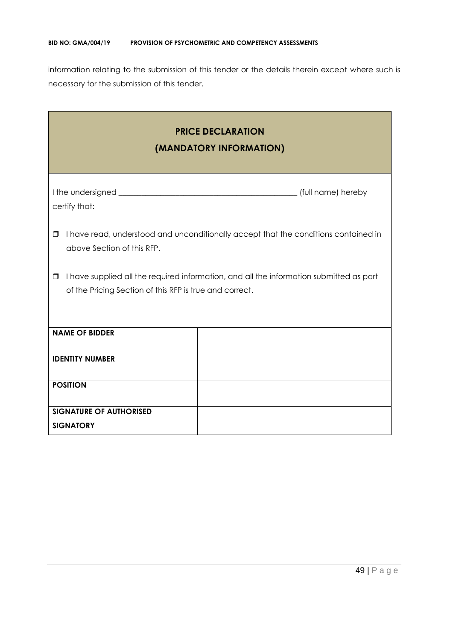information relating to the submission of this tender or the details therein except where such is necessary for the submission of this tender.

| <b>PRICE DECLARATION</b><br>(MANDATORY INFORMATION)                                                                                                          |  |  |
|--------------------------------------------------------------------------------------------------------------------------------------------------------------|--|--|
| certify that:                                                                                                                                                |  |  |
| I have read, understood and unconditionally accept that the conditions contained in<br>□<br>above Section of this RFP.                                       |  |  |
| I have supplied all the required information, and all the information submitted as part<br>$\Box$<br>of the Pricing Section of this RFP is true and correct. |  |  |
| <b>NAME OF BIDDER</b>                                                                                                                                        |  |  |
| <b>IDENTITY NUMBER</b>                                                                                                                                       |  |  |
| <b>POSITION</b>                                                                                                                                              |  |  |
| <b>SIGNATURE OF AUTHORISED</b><br><b>SIGNATORY</b>                                                                                                           |  |  |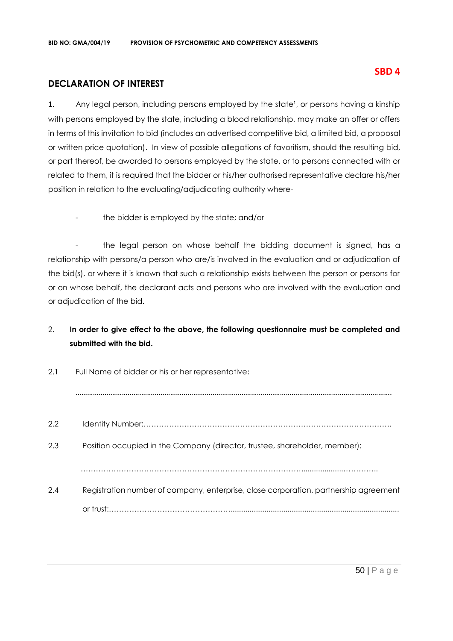# **DECLARATION OF INTEREST**

1. Any legal person, including persons employed by the state<sup>1</sup>, or persons having a kinship with persons employed by the state, including a blood relationship, may make an offer or offers in terms of this invitation to bid (includes an advertised competitive bid, a limited bid, a proposal or written price quotation). In view of possible allegations of favoritism, should the resulting bid, or part thereof, be awarded to persons employed by the state, or to persons connected with or related to them, it is required that the bidder or his/her authorised representative declare his/her position in relation to the evaluating/adjudicating authority where-

the bidder is employed by the state; and/or

- the legal person on whose behalf the bidding document is signed, has a relationship with persons/a person who are/is involved in the evaluation and or adjudication of the bid(s), or where it is known that such a relationship exists between the person or persons for or on whose behalf, the declarant acts and persons who are involved with the evaluation and or adjudication of the bid.

# 2. **In order to give effect to the above, the following questionnaire must be completed and submitted with the bid.**

| 2.1 | Full Name of bidder or his or her representative:                                    |
|-----|--------------------------------------------------------------------------------------|
|     |                                                                                      |
| 2.2 |                                                                                      |
| 2.3 | Position occupied in the Company (director, trustee, shareholder, member):           |
|     |                                                                                      |
| 2.4 | Registration number of company, enterprise, close corporation, partnership agreement |
|     |                                                                                      |

# **SBD 4**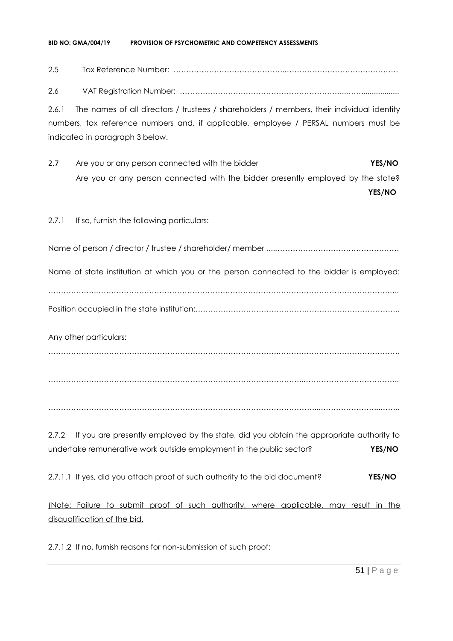#### **BID NO: GMA/004/19 PROVISION OF PSYCHOMETRIC AND COMPETENCY ASSESSMENTS**

2.5 Tax Reference Number: ……………………………………..………………………………………

2.6 VAT Registration Number: ………………………………………………………...……..................

2.6.1 The names of all directors / trustees / shareholders / members, their individual identity numbers, tax reference numbers and, if applicable, employee / PERSAL numbers must be indicated in paragraph 3 below.

2.7 Are you or any person connected with the bidder **YES/NO** Are you or any person connected with the bidder presently employed by the state?

**YES/NO**

2.7.1 If so, furnish the following particulars:

Name of person / director / trustee / shareholder/ member ....………………………………………….

Name of state institution at which you or the person connected to the bidder is employed:

……………….…………………………………………………………………………………………………….….. Position occupied in the state institution:…………………………………….………………………………..

Any other particulars:

……………………………………………………………………………….…………………………………………

………………………………………………………………………………………..………………………………..

……………………………………………………………………………………………...…………………...……..

2.7.2 If you are presently employed by the state, did you obtain the appropriate authority to undertake remunerative work outside employment in the public sector? **YES/NO**

2.7.1.1 If yes, did you attach proof of such authority to the bid document? **YES/NO**

(Note: Failure to submit proof of such authority, where applicable, may result in the disqualification of the bid.

2.7.1.2 If no, furnish reasons for non-submission of such proof: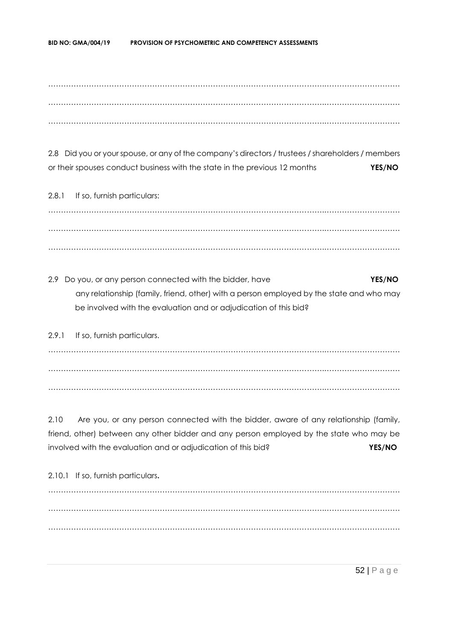……………………………………………………………………………………………….………………………… ……………………………………………………………………………………………….………………………… ……………………………………………………………………………………………….…………………………

2.8 Did you or your spouse, or any of the company's directors / trustees / shareholders / members or their spouses conduct business with the state in the previous 12 months **YES/NO**

2.8.1 If so, furnish particulars: ……………………………………………………………………………………………….………………………… ……………………………………………………………………………………………….………………………… ……………………………………………………………………………………………….…………………………

2.9 Do you, or any person connected with the bidder, have **YES/NO** any relationship (family, friend, other) with a person employed by the state and who may be involved with the evaluation and or adjudication of this bid?

2.9.1 If so, furnish particulars. ……………………………………………………………………………………………….………………………… ……………………………………………………………………………………………….………………………… ……………………………………………………………………………………………….…………………………

2.10 Are you, or any person connected with the bidder, aware of any relationship (family, friend, other) between any other bidder and any person employed by the state who may be involved with the evaluation and or adjudication of this bid? **YES/NO**

2.10.1 If so, furnish particulars**.** ……………………………………………………………………………………………….………………………… ……………………………………………………………………………………………….………………………… ……………………………………………………………………………………………….…………………………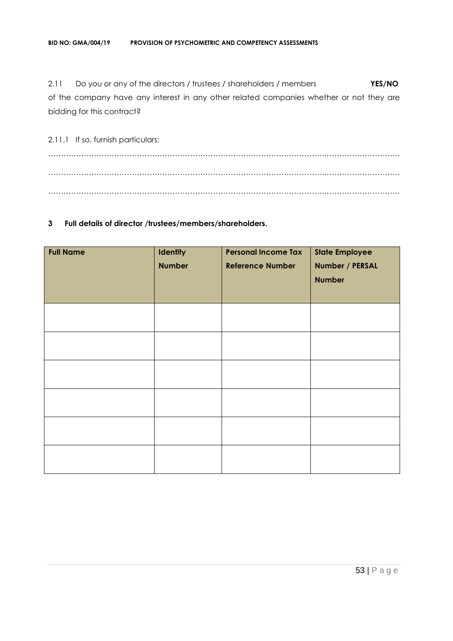2.11 Do you or any of the directors / trustees / shareholders / members **YES/NO** of the company have any interest in any other related companies whether or not they are bidding for this contract?

2.11.1 If so, furnish particulars: ……………………………………………………………………………………………….………………………… ……………………………………………………………………………………………….………………………… ……………………………………………………………………………………………….…………………………

#### **3 Full details of director /trustees/members/shareholders.**

| <b>Full Name</b> | <b>Identity</b><br><b>Number</b> | <b>Personal Income Tax</b><br><b>Reference Number</b> | <b>State Employee</b><br>Number / PERSAL<br><b>Number</b> |
|------------------|----------------------------------|-------------------------------------------------------|-----------------------------------------------------------|
|                  |                                  |                                                       |                                                           |
|                  |                                  |                                                       |                                                           |
|                  |                                  |                                                       |                                                           |
|                  |                                  |                                                       |                                                           |
|                  |                                  |                                                       |                                                           |
|                  |                                  |                                                       |                                                           |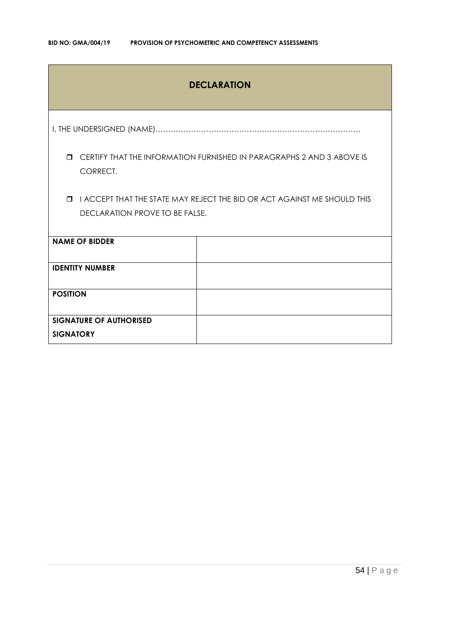# **DECLARATION**

I, THE UNDERSIGNED (NAME)………………………………………………………………………

 CERTIFY THAT THE INFORMATION FURNISHED IN PARAGRAPHS 2 AND 3 ABOVE IS CORRECT.

 I ACCEPT THAT THE STATE MAY REJECT THE BID OR ACT AGAINST ME SHOULD THIS DECLARATION PROVE TO BE FALSE.

| <b>NAME OF BIDDER</b>          |  |
|--------------------------------|--|
| <b>IDENTITY NUMBER</b>         |  |
|                                |  |
|                                |  |
|                                |  |
|                                |  |
| <b>POSITION</b>                |  |
|                                |  |
|                                |  |
| <b>SIGNATURE OF AUTHORISED</b> |  |
|                                |  |
|                                |  |
| <b>SIGNATORY</b>               |  |
|                                |  |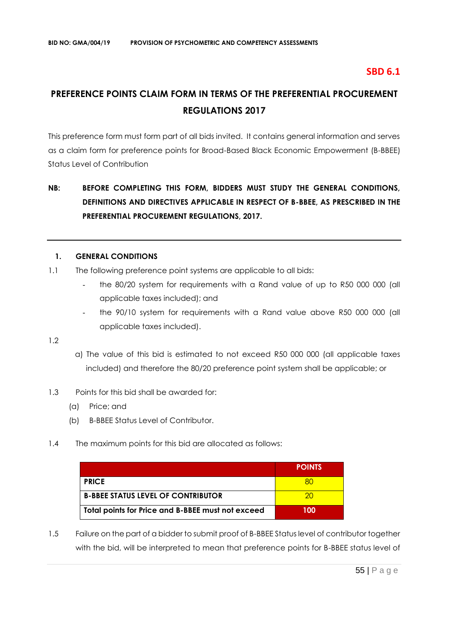# **SBD 6.1**

# **PREFERENCE POINTS CLAIM FORM IN TERMS OF THE PREFERENTIAL PROCUREMENT REGULATIONS 2017**

This preference form must form part of all bids invited. It contains general information and serves as a claim form for preference points for Broad-Based Black Economic Empowerment (B-BBEE) Status Level of Contribution

# **NB: BEFORE COMPLETING THIS FORM, BIDDERS MUST STUDY THE GENERAL CONDITIONS, DEFINITIONS AND DIRECTIVES APPLICABLE IN RESPECT OF B-BBEE, AS PRESCRIBED IN THE PREFERENTIAL PROCUREMENT REGULATIONS, 2017.**

#### **1. GENERAL CONDITIONS**

- 1.1 The following preference point systems are applicable to all bids:
	- the 80/20 system for requirements with a Rand value of up to R50 000 000 (all applicable taxes included); and
	- the 90/10 system for requirements with a Rand value above R50 000 000 (all applicable taxes included).

1.2

- a) The value of this bid is estimated to not exceed R50 000 000 (all applicable taxes included) and therefore the 80/20 preference point system shall be applicable; or
- 1.3 Points for this bid shall be awarded for:
	- (a) Price; and
	- (b) B-BBEE Status Level of Contributor.
- 1.4 The maximum points for this bid are allocated as follows:

|                                                   | <b>POINTS</b> |
|---------------------------------------------------|---------------|
| <b>PRICE</b>                                      |               |
| <b>B-BBEE STATUS LEVEL OF CONTRIBUTOR</b>         | 20            |
| Total points for Price and B-BBEE must not exceed | 100           |

1.5 Failure on the part of a bidder to submit proof of B-BBEE Status level of contributor together with the bid, will be interpreted to mean that preference points for B-BBEE status level of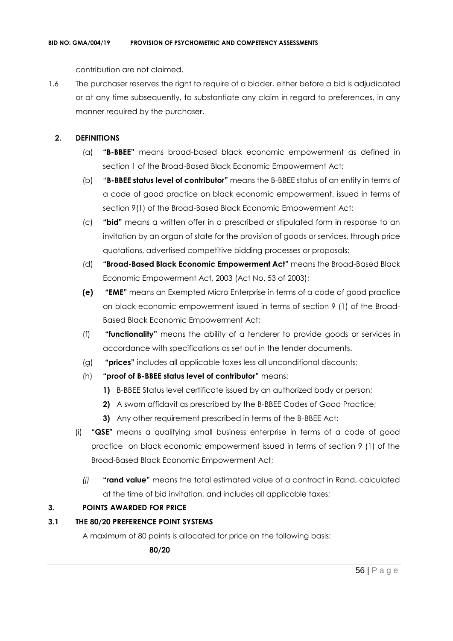contribution are not claimed.

1.6 The purchaser reserves the right to require of a bidder, either before a bid is adjudicated or at any time subsequently, to substantiate any claim in regard to preferences, in any manner required by the purchaser.

# **2. DEFINITIONS**

- (a) **"B-BBEE"** means broad-based black economic empowerment as defined in section 1 of the Broad-Based Black Economic Empowerment Act;
- (b) "**B-BBEE status level of contributor"** means the B-BBEE status of an entity in terms of a code of good practice on black economic empowerment, issued in terms of section 9(1) of the Broad-Based Black Economic Empowerment Act;
- (c) **"bid"** means a written offer in a prescribed or stipulated form in response to an invitation by an organ of state for the provision of goods or services, through price quotations, advertised competitive bidding processes or proposals;
- (d) **"Broad-Based Black Economic Empowerment Act"** means the Broad-Based Black Economic Empowerment Act, 2003 (Act No. 53 of 2003);
- **(e) "EME"** means an Exempted Micro Enterprise in terms of a code of good practice on black economic empowerment issued in terms of section 9 (1) of the Broad-Based Black Economic Empowerment Act;
- (f) **"functionality"** means the ability of a tenderer to provide goods or services in accordance with specifications as set out in the tender documents.
- (g) **"prices"** includes all applicable taxes less all unconditional discounts;
- (h) **"proof of B-BBEE status level of contributor"** means:
	- **1)** B-BBEE Status level certificate issued by an authorized body or person;
	- **2)** A sworn affidavit as prescribed by the B-BBEE Codes of Good Practice;
	- **3)** Any other requirement prescribed in terms of the B-BBEE Act;
- (i) **"QSE"** means a qualifying small business enterprise in terms of a code of good practice on black economic empowerment issued in terms of section 9 (1) of the Broad-Based Black Economic Empowerment Act;
	- *(j)* **"rand value"** means the total estimated value of a contract in Rand, calculated at the time of bid invitation, and includes all applicable taxes;

# **3. POINTS AWARDED FOR PRICE**

# **3.1 THE 80/20 PREFERENCE POINT SYSTEMS**

A maximum of 80 points is allocated for price on the following basis:

 **80/20**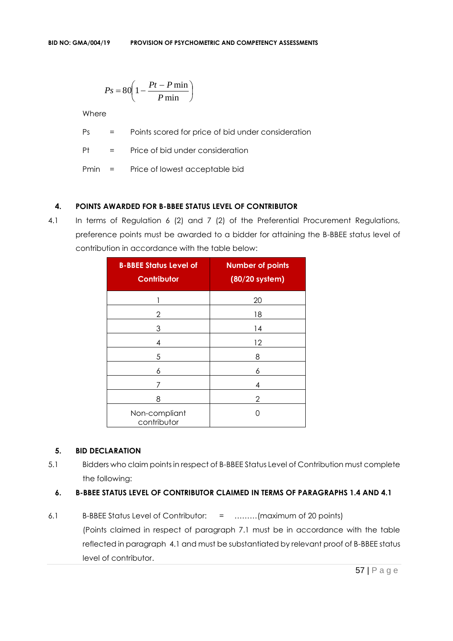$$
Ps = 80 \left( 1 - \frac{Pt - P \min}{P \min} \right)
$$

Where

Ps = Points scored for price of bid under consideration

Pt = Price of bid under consideration

Pmin = Price of lowest acceptable bid

# **4. POINTS AWARDED FOR B-BBEE STATUS LEVEL OF CONTRIBUTOR**

4.1 In terms of Regulation 6 (2) and 7 (2) of the Preferential Procurement Regulations, preference points must be awarded to a bidder for attaining the B-BBEE status level of contribution in accordance with the table below:

| <b>B-BBEE Status Level of</b><br><b>Contributor</b> | <b>Number of points</b><br>(80/20 system) |
|-----------------------------------------------------|-------------------------------------------|
|                                                     | 20                                        |
| 2                                                   | 18                                        |
| 3                                                   | 14                                        |
| 4                                                   | 12                                        |
| 5                                                   | 8                                         |
| 6                                                   | 6                                         |
| 7                                                   | 4                                         |
| 8                                                   | 2                                         |
| Non-compliant<br>contributor                        | Ω                                         |

# **5. BID DECLARATION**

5.1 Bidders who claim points in respect of B-BBEE Status Level of Contribution must complete the following:

# **6. B-BBEE STATUS LEVEL OF CONTRIBUTOR CLAIMED IN TERMS OF PARAGRAPHS 1.4 AND 4.1**

6.1 B-BBEE Status Level of Contributor: = ………(maximum of 20 points) (Points claimed in respect of paragraph 7.1 must be in accordance with the table reflected in paragraph 4.1 and must be substantiated by relevant proof of B-BBEE status level of contributor.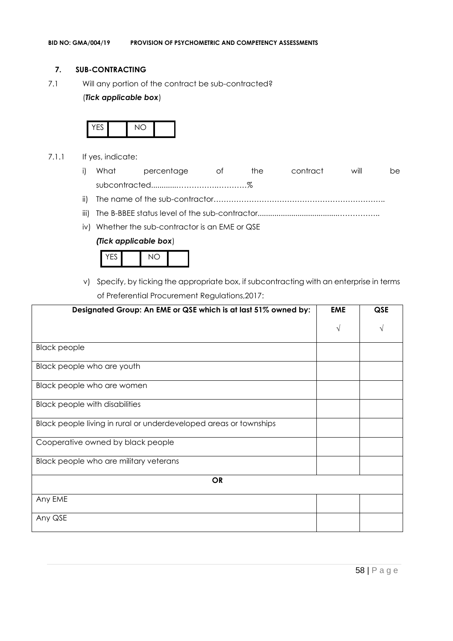#### **7. SUB-CONTRACTING**

7.1 Will any portion of the contract be sub-contracted?

#### (*Tick applicable box*)



- 7.1.1 If yes, indicate:
	- i) What percentage of the contract will be subcontracted............…………….…………%
	- ii) The name of the sub-contractor…………………………………………………………..
	- iii) The B-BBEE status level of the sub-contractor......................................……………..
	- iv) Whether the sub-contractor is an EME or QSE

#### *(Tick applicable box*)



v) Specify, by ticking the appropriate box, if subcontracting with an enterprise in terms of Preferential Procurement Regulations,2017:

| Designated Group: An EME or QSE which is at last 51% owned by:    | <b>EME</b> | <b>QSE</b> |
|-------------------------------------------------------------------|------------|------------|
|                                                                   | $\sqrt{ }$ |            |
| <b>Black people</b>                                               |            |            |
| Black people who are youth                                        |            |            |
| Black people who are women                                        |            |            |
| <b>Black people with disabilities</b>                             |            |            |
| Black people living in rural or underdeveloped areas or townships |            |            |
| Cooperative owned by black people                                 |            |            |
| Black people who are military veterans                            |            |            |
| <b>OR</b>                                                         |            |            |
| Any EME                                                           |            |            |
| Any QSE                                                           |            |            |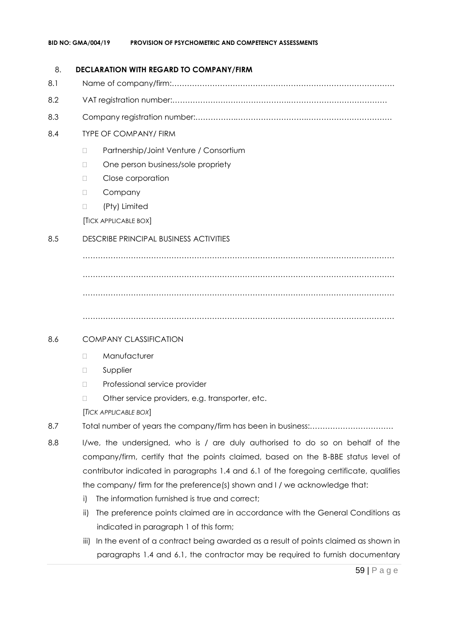#### 8. **DECLARATION WITH REGARD TO COMPANY/FIRM**

- 8.1 Name of company/firm:…………………………………………………………………………….
- 8.2 VAT registration number:……………………………………….…………………………………
- 8.3 Company registration number:…………….……………………….…………………………….

# 8.4 TYPE OF COMPANY/ FIRM

- □ Partnership/Joint Venture / Consortium
- □ One person business/sole propriety
- D Close corporation
- D Company
- (Pty) Limited

[TICK APPLICABLE BOX]

# 8.5 DESCRIBE PRINCIPAL BUSINESS ACTIVITIES

…………………………………………………………………………………………………………… …………………………………………………………………………………………………………… ……………………………………………………………………………………………………………

……………………………………………………………………………………………………………

# 8.6 COMPANY CLASSIFICATION

- D Manufacturer
- **D** Supplier
- D Professional service provider
- □ Other service providers, e.g. transporter, etc.

[*TICK APPLICABLE BOX*]

- 8.7 Total number of years the company/firm has been in business:……………………………
- 8.8 I/we, the undersigned, who is / are duly authorised to do so on behalf of the company/firm, certify that the points claimed, based on the B-BBE status level of contributor indicated in paragraphs 1.4 and 6.1 of the foregoing certificate, qualifies the company/ firm for the preference(s) shown and I / we acknowledge that:
	- i) The information furnished is true and correct;
	- ii) The preference points claimed are in accordance with the General Conditions as indicated in paragraph 1 of this form;
	- iii) In the event of a contract being awarded as a result of points claimed as shown in paragraphs 1.4 and 6.1, the contractor may be required to furnish documentary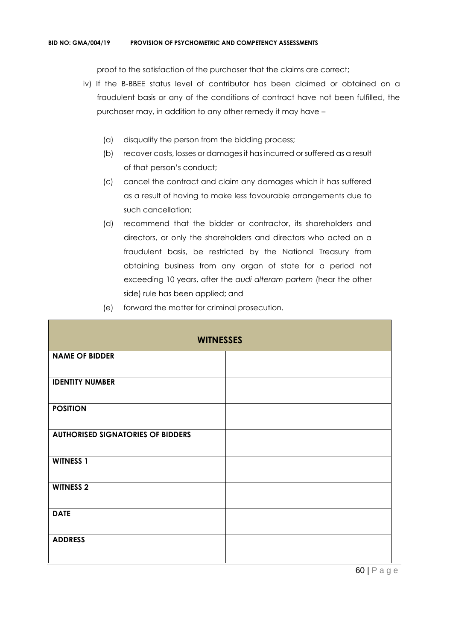proof to the satisfaction of the purchaser that the claims are correct;

- iv) If the B-BBEE status level of contributor has been claimed or obtained on a fraudulent basis or any of the conditions of contract have not been fulfilled, the purchaser may, in addition to any other remedy it may have –
	- (a) disqualify the person from the bidding process;
	- (b) recover costs, losses or damages it has incurred or suffered as a result of that person's conduct;
	- (c) cancel the contract and claim any damages which it has suffered as a result of having to make less favourable arrangements due to such cancellation;
	- (d) recommend that the bidder or contractor, its shareholders and directors, or only the shareholders and directors who acted on a fraudulent basis, be restricted by the National Treasury from obtaining business from any organ of state for a period not exceeding 10 years, after the *audi alteram partem* (hear the other side) rule has been applied; and
	- (e) forward the matter for criminal prosecution.

| <b>WITNESSES</b>                         |  |  |
|------------------------------------------|--|--|
| <b>NAME OF BIDDER</b>                    |  |  |
| <b>IDENTITY NUMBER</b>                   |  |  |
| <b>POSITION</b>                          |  |  |
| <b>AUTHORISED SIGNATORIES OF BIDDERS</b> |  |  |
| <b>WITNESS 1</b>                         |  |  |
| <b>WITNESS 2</b>                         |  |  |
| <b>DATE</b>                              |  |  |
| <b>ADDRESS</b>                           |  |  |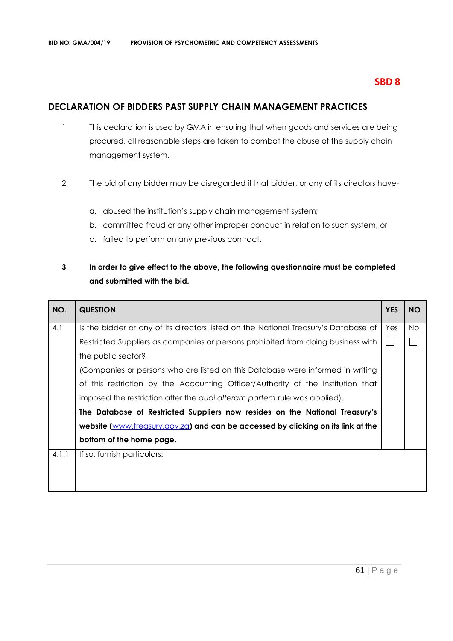# **SBD 8**

# **DECLARATION OF BIDDERS PAST SUPPLY CHAIN MANAGEMENT PRACTICES**

- 1 This declaration is used by GMA in ensuring that when goods and services are being procured, all reasonable steps are taken to combat the abuse of the supply chain management system.
- 2 The bid of any bidder may be disregarded if that bidder, or any of its directors have
	- a. abused the institution's supply chain management system;
	- b. committed fraud or any other improper conduct in relation to such system; or
	- c. failed to perform on any previous contract.

# **3 In order to give effect to the above, the following questionnaire must be completed and submitted with the bid.**

| NO.   | <b>QUESTION</b>                                                                     | <b>YES</b> | <b>NO</b> |
|-------|-------------------------------------------------------------------------------------|------------|-----------|
| 4.1   | Is the bidder or any of its directors listed on the National Treasury's Database of | Yes        | <b>No</b> |
|       | Restricted Suppliers as companies or persons prohibited from doing business with    |            |           |
|       | the public sector?                                                                  |            |           |
|       | (Companies or persons who are listed on this Database were informed in writing      |            |           |
|       | of this restriction by the Accounting Officer/Authority of the institution that     |            |           |
|       | imposed the restriction after the audi alteram partem rule was applied).            |            |           |
|       | The Database of Restricted Suppliers now resides on the National Treasury's         |            |           |
|       | website (www.treasury.gov.za) and can be accessed by clicking on its link at the    |            |           |
|       | bottom of the home page.                                                            |            |           |
| 4.1.1 | If so, furnish particulars:                                                         |            |           |
|       |                                                                                     |            |           |
|       |                                                                                     |            |           |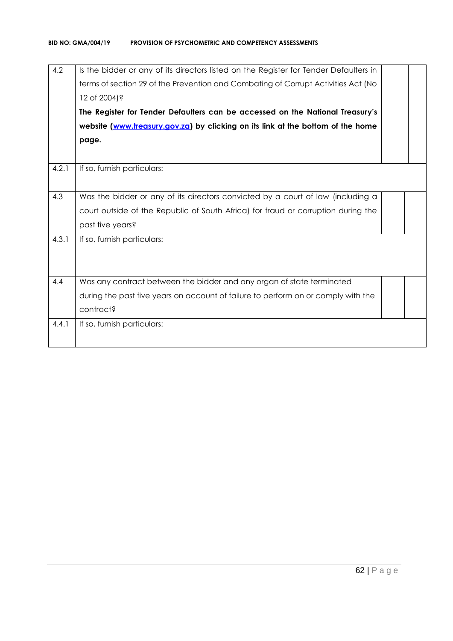| Is the bidder or any of its directors listed on the Register for Tender Defaulters in |  |
|---------------------------------------------------------------------------------------|--|
| terms of section 29 of the Prevention and Combating of Corrupt Activities Act (No     |  |
| 12 of 2004)?                                                                          |  |
| The Register for Tender Defaulters can be accessed on the National Treasury's         |  |
| website (www.treasury.gov.za) by clicking on its link at the bottom of the home       |  |
| page.                                                                                 |  |
|                                                                                       |  |
| If so, furnish particulars:                                                           |  |
|                                                                                       |  |
| Was the bidder or any of its directors convicted by a court of law (including a       |  |
| court outside of the Republic of South Africa) for fraud or corruption during the     |  |
| past five years?                                                                      |  |
| If so, furnish particulars:                                                           |  |
|                                                                                       |  |
|                                                                                       |  |
| Was any contract between the bidder and any organ of state terminated                 |  |
| during the past five years on account of failure to perform on or comply with the     |  |
| contract?                                                                             |  |
| If so, furnish particulars:                                                           |  |
|                                                                                       |  |
|                                                                                       |  |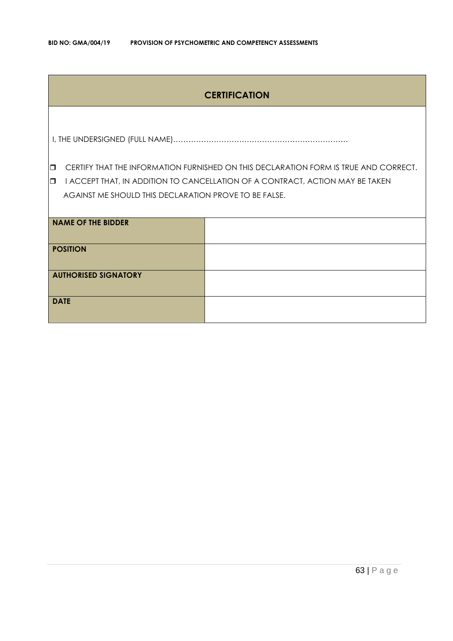# **CERTIFICATION**

I, THE UNDERSIGNED (FULL NAME)……………………………………………………………

**CERTIFY THAT THE INFORMATION FURNISHED ON THIS DECLARATION FORM IS TRUE AND CORRECT.** 

**I** I ACCEPT THAT, IN ADDITION TO CANCELLATION OF A CONTRACT, ACTION MAY BE TAKEN AGAINST ME SHOULD THIS DECLARATION PROVE TO BE FALSE.

| <b>NAME OF THE BIDDER</b>   |  |
|-----------------------------|--|
| <b>POSITION</b>             |  |
| <b>AUTHORISED SIGNATORY</b> |  |
| <b>DATE</b>                 |  |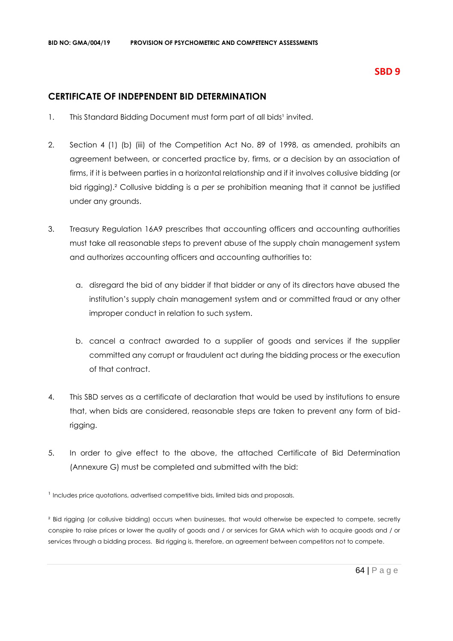# **SBD 9**

# **CERTIFICATE OF INDEPENDENT BID DETERMINATION**

- 1. This Standard Bidding Document must form part of all bids<sup>1</sup> invited.
- 2. Section 4 (1) (b) (iii) of the Competition Act No. 89 of 1998, as amended, prohibits an agreement between, or concerted practice by, firms, or a decision by an association of firms, if it is between parties in a horizontal relationship and if it involves collusive bidding (or bid rigging).² Collusive bidding is a *per se* prohibition meaning that it cannot be justified under any grounds.
- 3. Treasury Regulation 16A9 prescribes that accounting officers and accounting authorities must take all reasonable steps to prevent abuse of the supply chain management system and authorizes accounting officers and accounting authorities to:
	- a. disregard the bid of any bidder if that bidder or any of its directors have abused the institution's supply chain management system and or committed fraud or any other improper conduct in relation to such system.
	- b. cancel a contract awarded to a supplier of goods and services if the supplier committed any corrupt or fraudulent act during the bidding process or the execution of that contract.
- 4. This SBD serves as a certificate of declaration that would be used by institutions to ensure that, when bids are considered, reasonable steps are taken to prevent any form of bidrigging.
- 5. In order to give effect to the above, the attached Certificate of Bid Determination (Annexure G) must be completed and submitted with the bid:

<sup>1</sup> Includes price quotations, advertised competitive bids, limited bids and proposals.

² Bid rigging (or collusive bidding) occurs when businesses, that would otherwise be expected to compete, secretly conspire to raise prices or lower the quality of goods and / or services for GMA which wish to acquire goods and / or services through a bidding process. Bid rigging is, therefore, an agreement between competitors not to compete.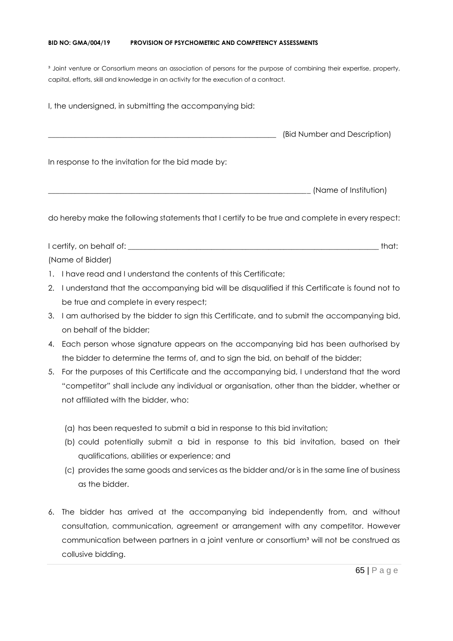#### **BID NO: GMA/004/19 PROVISION OF PSYCHOMETRIC AND COMPETENCY ASSESSMENTS**

<sup>3</sup> Joint venture or Consortium means an association of persons for the purpose of combining their expertise, property, capital, efforts, skill and knowledge in an activity for the execution of a contract.

I, the undersigned, in submitting the accompanying bid: \_\_\_\_\_\_\_\_\_\_\_\_\_\_\_\_\_\_\_\_\_\_\_\_\_\_\_\_\_\_\_\_\_\_\_\_\_\_\_\_\_\_\_\_\_\_\_\_\_\_\_\_\_\_\_\_\_\_\_\_ (Bid Number and Description) In response to the invitation for the bid made by: \_\_\_\_\_\_\_\_\_\_\_\_\_\_\_\_\_\_\_\_\_\_\_\_\_\_\_\_\_\_\_\_\_\_\_\_\_\_\_\_\_\_\_\_\_\_\_\_\_\_\_\_\_\_\_\_\_\_\_\_\_\_\_\_\_\_\_\_\_ (Name of Institution)

do hereby make the following statements that I certify to be true and complete in every respect:

I certify, on behalf of: the state of the state of the state of the state of the state of the state of the state of the state of the state of the state of the state of the state of the state of the state of the state of th (Name of Bidder)

- 1. I have read and I understand the contents of this Certificate;
- 2. I understand that the accompanying bid will be disqualified if this Certificate is found not to be true and complete in every respect;
- 3. I am authorised by the bidder to sign this Certificate, and to submit the accompanying bid, on behalf of the bidder;
- 4. Each person whose signature appears on the accompanying bid has been authorised by the bidder to determine the terms of, and to sign the bid, on behalf of the bidder;
- 5. For the purposes of this Certificate and the accompanying bid, I understand that the word "competitor" shall include any individual or organisation, other than the bidder, whether or not affiliated with the bidder, who:
	- (a) has been requested to submit a bid in response to this bid invitation;
	- (b) could potentially submit a bid in response to this bid invitation, based on their qualifications, abilities or experience; and
	- (c) provides the same goods and services as the bidder and/or is in the same line of business as the bidder.
- 6. The bidder has arrived at the accompanying bid independently from, and without consultation, communication, agreement or arrangement with any competitor. However communication between partners in a joint venture or consortium<sup>3</sup> will not be construed as collusive bidding.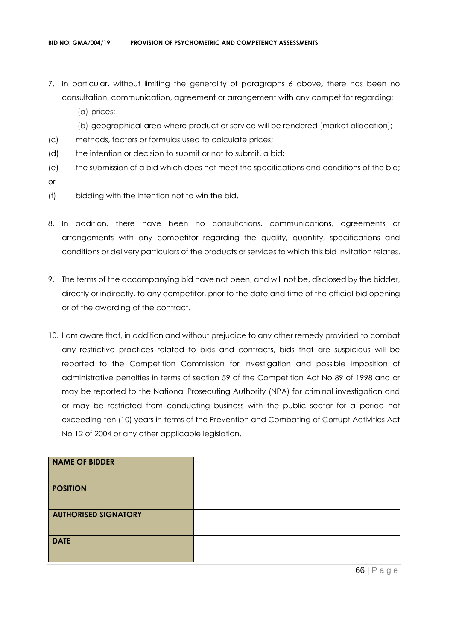- 7. In particular, without limiting the generality of paragraphs 6 above, there has been no consultation, communication, agreement or arrangement with any competitor regarding:
	- (a) prices;
	- (b) geographical area where product or service will be rendered (market allocation);
- (c) methods, factors or formulas used to calculate prices;
- (d) the intention or decision to submit or not to submit, a bid;
- (e) the submission of a bid which does not meet the specifications and conditions of the bid; or
- (f) bidding with the intention not to win the bid.
- 8. In addition, there have been no consultations, communications, agreements or arrangements with any competitor regarding the quality, quantity, specifications and conditions or delivery particulars of the products or services to which this bid invitation relates.
- 9. The terms of the accompanying bid have not been, and will not be, disclosed by the bidder, directly or indirectly, to any competitor, prior to the date and time of the official bid opening or of the awarding of the contract.
- 10. I am aware that, in addition and without prejudice to any other remedy provided to combat any restrictive practices related to bids and contracts, bids that are suspicious will be reported to the Competition Commission for investigation and possible imposition of administrative penalties in terms of section 59 of the Competition Act No 89 of 1998 and or may be reported to the National Prosecuting Authority (NPA) for criminal investigation and or may be restricted from conducting business with the public sector for a period not exceeding ten (10) years in terms of the Prevention and Combating of Corrupt Activities Act No 12 of 2004 or any other applicable legislation.

| <b>NAME OF BIDDER</b>       |  |
|-----------------------------|--|
| <b>POSITION</b>             |  |
| <b>AUTHORISED SIGNATORY</b> |  |
| <b>DATE</b>                 |  |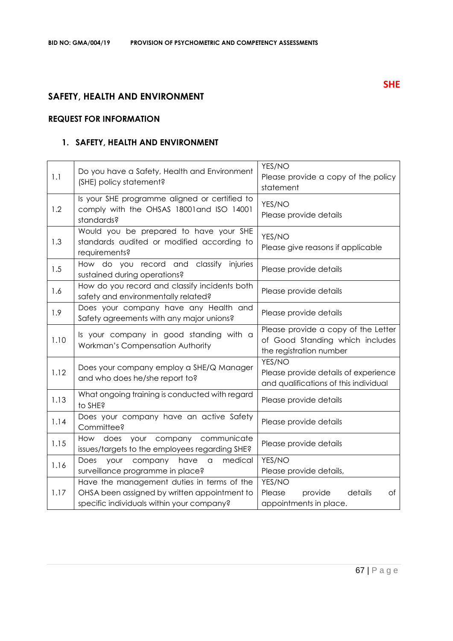# **SAFETY, HEALTH AND ENVIRONMENT**

# **REQUEST FOR INFORMATION**

# **1. SAFETY, HEALTH AND ENVIRONMENT**

| 1.1  | Do you have a Safety, Health and Environment<br>(SHE) policy statement?                                                                 | YES/NO<br>Please provide a copy of the policy<br>statement                                        |
|------|-----------------------------------------------------------------------------------------------------------------------------------------|---------------------------------------------------------------------------------------------------|
| 1.2  | Is your SHE programme aligned or certified to<br>comply with the OHSAS 18001 and ISO 14001<br>standards?                                | YES/NO<br>Please provide details                                                                  |
| 1.3  | Would you be prepared to have your SHE<br>standards audited or modified according to<br>requirements?                                   | YES/NO<br>Please give reasons if applicable                                                       |
| 1.5  | How do you record and classify injuries<br>sustained during operations?                                                                 | Please provide details                                                                            |
| 1.6  | How do you record and classify incidents both<br>safety and environmentally related?                                                    | Please provide details                                                                            |
| 1.9  | Does your company have any Health and<br>Safety agreements with any major unions?                                                       | Please provide details                                                                            |
| 1.10 | Is your company in good standing with a<br>Workman's Compensation Authority                                                             | Please provide a copy of the Letter<br>of Good Standing which includes<br>the registration number |
| 1.12 | Does your company employ a SHE/Q Manager<br>and who does he/she report to?                                                              | YES/NO<br>Please provide details of experience<br>and qualifications of this individual           |
| 1.13 | What ongoing training is conducted with regard<br>to SHE?                                                                               | Please provide details                                                                            |
| 1.14 | Does your company have an active Safety<br>Committee?                                                                                   | Please provide details                                                                            |
| 1.15 | How does your company communicate<br>issues/targets to the employees regarding SHE?                                                     | Please provide details                                                                            |
| 1.16 | medical<br>Does<br>your<br>company<br>have<br>$\hbox{\tt\small{a}}$<br>surveillance programme in place?                                 | YES/NO<br>Please provide details,                                                                 |
| 1.17 | Have the management duties in terms of the<br>OHSA been assigned by written appointment to<br>specific individuals within your company? | YES/NO<br>details<br>Please<br>provide<br>оf<br>appointments in place.                            |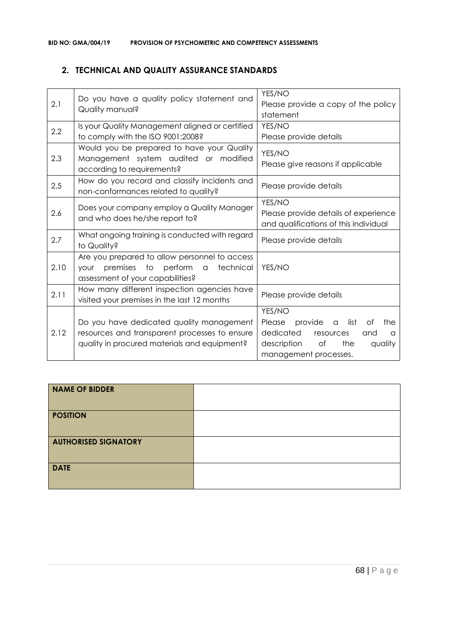# **2. TECHNICAL AND QUALITY ASSURANCE STANDARDS**

| 2.1  | Do you have a quality policy statement and<br>Quality manual?                                                                                    | YES/NO<br>Please provide a copy of the policy<br>statement                                                                                                         |
|------|--------------------------------------------------------------------------------------------------------------------------------------------------|--------------------------------------------------------------------------------------------------------------------------------------------------------------------|
| 2.2  | Is your Quality Management aligned or certified<br>to comply with the ISO 9001:2008?                                                             | YES/NO<br>Please provide details                                                                                                                                   |
| 2.3  | Would you be prepared to have your Quality<br>Management system audited or modified<br>according to requirements?                                | YES/NO<br>Please give reasons if applicable                                                                                                                        |
| 2.5  | How do you record and classify incidents and<br>non-conformances related to quality?                                                             | Please provide details                                                                                                                                             |
| 2.6  | Does your company employ a Quality Manager<br>and who does he/she report to?                                                                     | YES/NO<br>Please provide details of experience<br>and qualifications of this individual                                                                            |
| 2.7  | What ongoing training is conducted with regard<br>to Quality?                                                                                    | Please provide details                                                                                                                                             |
| 2.10 | Are you prepared to allow personnel to access<br>premises to perform<br>technical<br>$\alpha$<br><b>YOUr</b><br>assessment of your capabilities? | YES/NO                                                                                                                                                             |
| 2.11 | How many different inspection agencies have<br>visited your premises in the last 12 months                                                       | Please provide details                                                                                                                                             |
| 2.12 | Do you have dedicated quality management<br>resources and transparent processes to ensure<br>quality in procured materials and equipment?        | YES/NO<br>provide<br>list<br>the<br>Please<br>Οf<br>$\alpha$<br>dedicated<br>resources<br>and<br>a<br>description<br>of<br>the<br>quality<br>management processes. |

| <b>NAME OF BIDDER</b>       |  |
|-----------------------------|--|
| <b>POSITION</b>             |  |
| <b>AUTHORISED SIGNATORY</b> |  |
| <b>DATE</b>                 |  |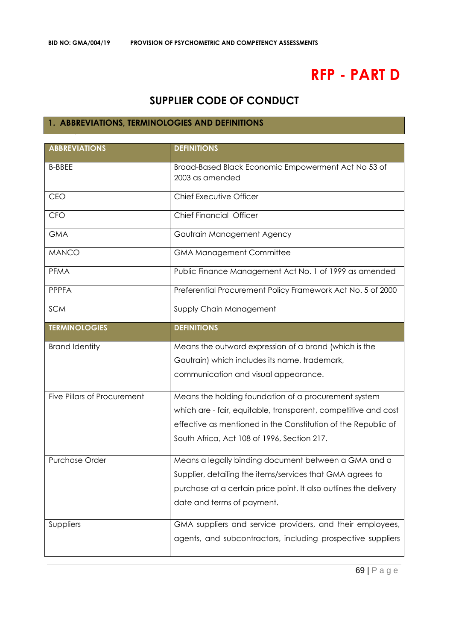# **RFP - PART D**

# **SUPPLIER CODE OF CONDUCT**

# **1. ABBREVIATIONS, TERMINOLOGIES AND DEFINITIONS**

| <b>ABBREVIATIONS</b>        | <b>DEFINITIONS</b>                                                     |
|-----------------------------|------------------------------------------------------------------------|
| <b>B-BBEE</b>               | Broad-Based Black Economic Empowerment Act No 53 of<br>2003 as amended |
| <b>CEO</b>                  | Chief Executive Officer                                                |
| <b>CFO</b>                  | Chief Financial Officer                                                |
| <b>GMA</b>                  | Gautrain Management Agency                                             |
| <b>MANCO</b>                | <b>GMA Management Committee</b>                                        |
| <b>PFMA</b>                 | Public Finance Management Act No. 1 of 1999 as amended                 |
| <b>PPPFA</b>                | Preferential Procurement Policy Framework Act No. 5 of 2000            |
| <b>SCM</b>                  | Supply Chain Management                                                |
| <b>TERMINOLOGIES</b>        | <b>DEFINITIONS</b>                                                     |
| <b>Brand Identity</b>       | Means the outward expression of a brand (which is the                  |
|                             | Gautrain) which includes its name, trademark,                          |
|                             | communication and visual appearance.                                   |
| Five Pillars of Procurement | Means the holding foundation of a procurement system                   |
|                             | which are - fair, equitable, transparent, competitive and cost         |
|                             | effective as mentioned in the Constitution of the Republic of          |
|                             | South Africa, Act 108 of 1996, Section 217.                            |
| <b>Purchase Order</b>       | Means a legally binding document between a GMA and a                   |
|                             | Supplier, detailing the items/services that GMA agrees to              |
|                             | purchase at a certain price point. It also outlines the delivery       |
|                             | date and terms of payment.                                             |
| Suppliers                   | GMA suppliers and service providers, and their employees,              |
|                             | agents, and subcontractors, including prospective suppliers            |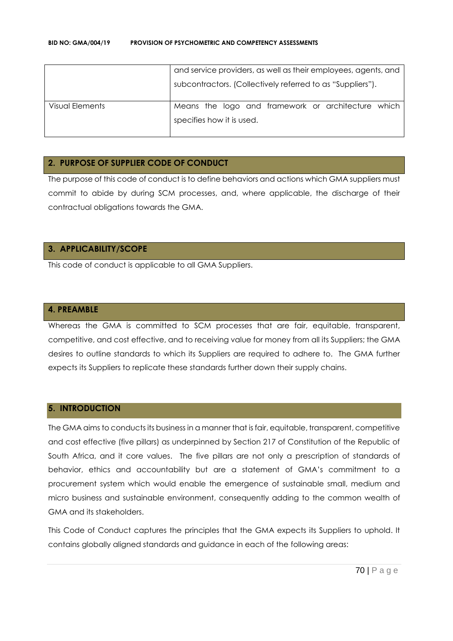|                 | and service providers, as well as their employees, agents, and |
|-----------------|----------------------------------------------------------------|
|                 | subcontractors. (Collectively referred to as "Suppliers").     |
| Visual Elements | Means the logo and framework or architecture which             |
|                 | specifies how it is used.                                      |
|                 |                                                                |

#### **2. PURPOSE OF SUPPLIER CODE OF CONDUCT**

The purpose of this code of conduct is to define behaviors and actions which GMA suppliers must commit to abide by during SCM processes, and, where applicable, the discharge of their contractual obligations towards the GMA.

# **3. APPLICABILITY/SCOPE**

This code of conduct is applicable to all GMA Suppliers.

#### **4. PREAMBLE**

Whereas the GMA is committed to SCM processes that are fair, equitable, transparent, competitive, and cost effective, and to receiving value for money from all its Suppliers; the GMA desires to outline standards to which its Suppliers are required to adhere to. The GMA further expects its Suppliers to replicate these standards further down their supply chains.

#### **5. INTRODUCTION**

The GMA aims to conducts its business in a manner that is fair, equitable, transparent, competitive and cost effective (five pillars) as underpinned by Section 217 of Constitution of the Republic of South Africa, and it core values. The five pillars are not only a prescription of standards of behavior, ethics and accountability but are a statement of GMA's commitment to a procurement system which would enable the emergence of sustainable small, medium and micro business and sustainable environment, consequently adding to the common wealth of GMA and its stakeholders.

This Code of Conduct captures the principles that the GMA expects its Suppliers to uphold. It contains globally aligned standards and guidance in each of the following areas: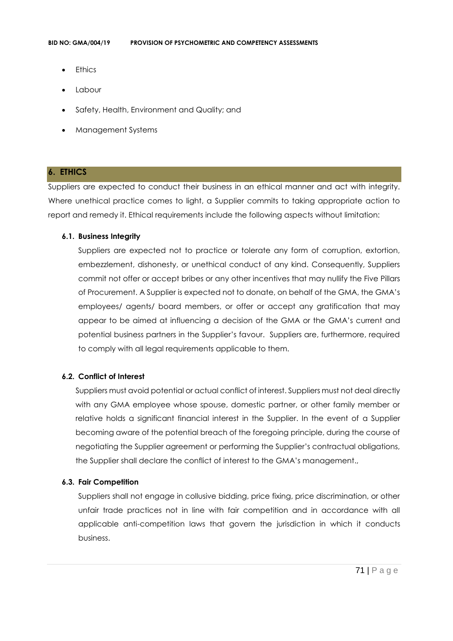- **Ethics**
- Labour
- Safety, Health, Environment and Quality; and
- Management Systems

#### **6. ETHICS**

Suppliers are expected to conduct their business in an ethical manner and act with integrity. Where unethical practice comes to light, a Supplier commits to taking appropriate action to report and remedy it. Ethical requirements include the following aspects without limitation:

#### **6.1. Business Integrity**

Suppliers are expected not to practice or tolerate any form of corruption, extortion, embezzlement, dishonesty, or unethical conduct of any kind. Consequently, Suppliers commit not offer or accept bribes or any other incentives that may nullify the Five Pillars of Procurement. A Supplier is expected not to donate, on behalf of the GMA, the GMA's employees/ agents/ board members, or offer or accept any gratification that may appear to be aimed at influencing a decision of the GMA or the GMA's current and potential business partners in the Supplier's favour. Suppliers are, furthermore, required to comply with all legal requirements applicable to them.

#### **6.2. Conflict of Interest**

Suppliers must avoid potential or actual conflict of interest. Suppliers must not deal directly with any GMA employee whose spouse, domestic partner, or other family member or relative holds a significant financial interest in the Supplier. In the event of a Supplier becoming aware of the potential breach of the foregoing principle, during the course of negotiating the Supplier agreement or performing the Supplier's contractual obligations, the Supplier shall declare the conflict of interest to the GMA's management.,

#### **6.3. Fair Competition**

Suppliers shall not engage in collusive bidding, price fixing, price discrimination, or other unfair trade practices not in line with fair competition and in accordance with all applicable anti-competition laws that govern the jurisdiction in which it conducts business.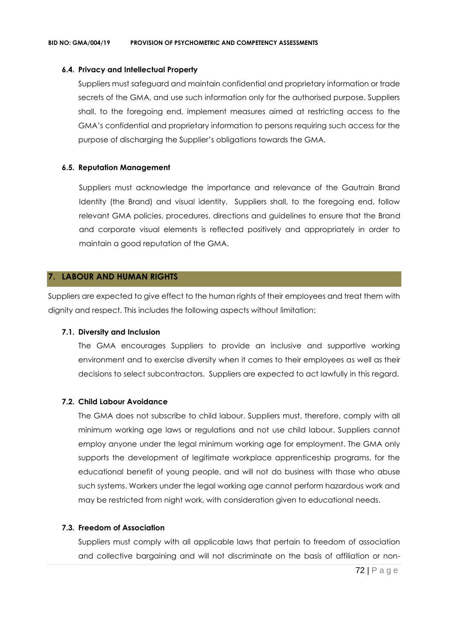#### **6.4. Privacy and Intellectual Property**

Suppliers must safeguard and maintain confidential and proprietary information or trade secrets of the GMA, and use such information only for the authorised purpose. Suppliers shall, to the foregoing end, implement measures aimed at restricting access to the GMA's confidential and proprietary information to persons requiring such access for the purpose of discharging the Supplier's obligations towards the GMA.

### **6.5. Reputation Management**

Suppliers must acknowledge the importance and relevance of the Gautrain Brand Identity (the Brand) and visual identity. Suppliers shall, to the foregoing end, follow relevant GMA policies, procedures, directions and guidelines to ensure that the Brand and corporate visual elements is reflected positively and appropriately in order to maintain a good reputation of the GMA.

# **7. LABOUR AND HUMAN RIGHTS**

Suppliers are expected to give effect to the human rights of their employees and treat them with dignity and respect. This includes the following aspects without limitation:

#### **7.1. Diversity and Inclusion**

The GMA encourages Suppliers to provide an inclusive and supportive working environment and to exercise diversity when it comes to their employees as well as their decisions to select subcontractors. Suppliers are expected to act lawfully in this regard.

# **7.2. Child Labour Avoidance**

The GMA does not subscribe to child labour. Suppliers must, therefore, comply with all minimum working age laws or regulations and not use child labour. Suppliers cannot employ anyone under the legal minimum working age for employment. The GMA only supports the development of legitimate workplace apprenticeship programs, for the educational benefit of young people, and will not do business with those who abuse such systems. Workers under the legal working age cannot perform hazardous work and may be restricted from night work, with consideration given to educational needs.

# **7.3. Freedom of Association**

Suppliers must comply with all applicable laws that pertain to freedom of association and collective bargaining and will not discriminate on the basis of affiliation or non-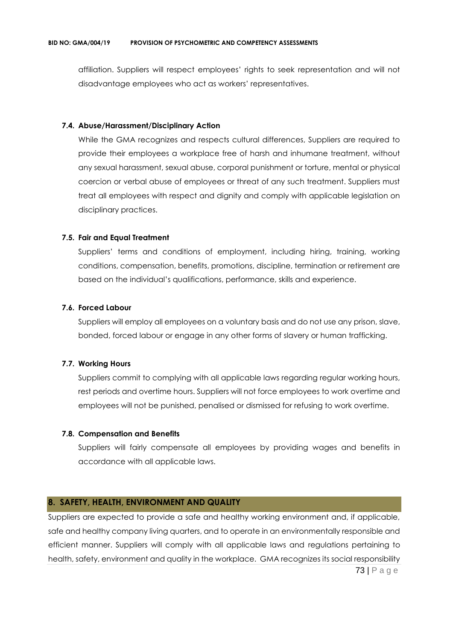affiliation. Suppliers will respect employees' rights to seek representation and will not disadvantage employees who act as workers' representatives.

### **7.4. Abuse/Harassment/Disciplinary Action**

While the GMA recognizes and respects cultural differences, Suppliers are required to provide their employees a workplace free of harsh and inhumane treatment, without any sexual harassment, sexual abuse, corporal punishment or torture, mental or physical coercion or verbal abuse of employees or threat of any such treatment. Suppliers must treat all employees with respect and dignity and comply with applicable legislation on disciplinary practices.

### **7.5. Fair and Equal Treatment**

Suppliers' terms and conditions of employment, including hiring, training, working conditions, compensation, benefits, promotions, discipline, termination or retirement are based on the individual's qualifications, performance, skills and experience.

#### **7.6. Forced Labour**

Suppliers will employ all employees on a voluntary basis and do not use any prison, slave, bonded, forced labour or engage in any other forms of slavery or human trafficking.

## **7.7. Working Hours**

Suppliers commit to complying with all applicable laws regarding regular working hours, rest periods and overtime hours. Suppliers will not force employees to work overtime and employees will not be punished, penalised or dismissed for refusing to work overtime.

#### **7.8. Compensation and Benefits**

Suppliers will fairly compensate all employees by providing wages and benefits in accordance with all applicable laws.

## **8. SAFETY, HEALTH, ENVIRONMENT AND QUALITY**

73 | P a g e Suppliers are expected to provide a safe and healthy working environment and, if applicable, safe and healthy company living quarters, and to operate in an environmentally responsible and efficient manner. Suppliers will comply with all applicable laws and regulations pertaining to health, safety, environment and quality in the workplace. GMA recognizes its social responsibility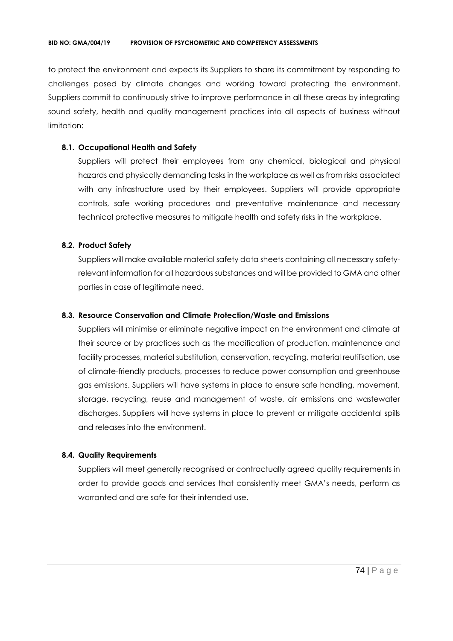to protect the environment and expects its Suppliers to share its commitment by responding to challenges posed by climate changes and working toward protecting the environment. Suppliers commit to continuously strive to improve performance in all these areas by integrating sound safety, health and quality management practices into all aspects of business without limitation:

## **8.1. Occupational Health and Safety**

Suppliers will protect their employees from any chemical, biological and physical hazards and physically demanding tasks in the workplace as well as from risks associated with any infrastructure used by their employees. Suppliers will provide appropriate controls, safe working procedures and preventative maintenance and necessary technical protective measures to mitigate health and safety risks in the workplace.

# **8.2. Product Safety**

Suppliers will make available material safety data sheets containing all necessary safetyrelevant information for all hazardous substances and will be provided to GMA and other parties in case of legitimate need.

# **8.3. Resource Conservation and Climate Protection/Waste and Emissions**

Suppliers will minimise or eliminate negative impact on the environment and climate at their source or by practices such as the modification of production, maintenance and facility processes, material substitution, conservation, recycling, material reutilisation, use of climate-friendly products, processes to reduce power consumption and greenhouse gas emissions. Suppliers will have systems in place to ensure safe handling, movement, storage, recycling, reuse and management of waste, air emissions and wastewater discharges. Suppliers will have systems in place to prevent or mitigate accidental spills and releases into the environment.

## **8.4. Quality Requirements**

Suppliers will meet generally recognised or contractually agreed quality requirements in order to provide goods and services that consistently meet GMA's needs, perform as warranted and are safe for their intended use.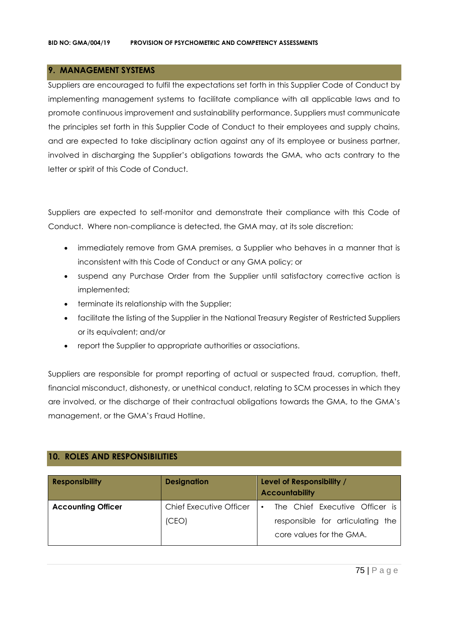# **9. MANAGEMENT SYSTEMS**

Suppliers are encouraged to fulfil the expectations set forth in this Supplier Code of Conduct by implementing management systems to facilitate compliance with all applicable laws and to promote continuous improvement and sustainability performance. Suppliers must communicate the principles set forth in this Supplier Code of Conduct to their employees and supply chains, and are expected to take disciplinary action against any of its employee or business partner, involved in discharging the Supplier's obligations towards the GMA, who acts contrary to the letter or spirit of this Code of Conduct.

Suppliers are expected to self-monitor and demonstrate their compliance with this Code of Conduct. Where non-compliance is detected, the GMA may, at its sole discretion:

- immediately remove from GMA premises, a Supplier who behaves in a manner that is inconsistent with this Code of Conduct or any GMA policy; or
- suspend any Purchase Order from the Supplier until satisfactory corrective action is implemented;
- terminate its relationship with the Supplier;
- facilitate the listing of the Supplier in the National Treasury Register of Restricted Suppliers or its equivalent; and/or
- report the Supplier to appropriate authorities or associations.

Suppliers are responsible for prompt reporting of actual or suspected fraud, corruption, theft, financial misconduct, dishonesty, or unethical conduct, relating to SCM processes in which they are involved, or the discharge of their contractual obligations towards the GMA, to the GMA's management, or the GMA's Fraud Hotline.

# **10. ROLES AND RESPONSIBILITIES**

| <b>Responsibility</b>     | <b>Designation</b>             | Level of Responsibility /<br><b>Accountability</b>           |
|---------------------------|--------------------------------|--------------------------------------------------------------|
| <b>Accounting Officer</b> | <b>Chief Executive Officer</b> | The Chief Executive Officer is<br>$\bullet$                  |
|                           | (CEO)                          | responsible for articulating the<br>core values for the GMA. |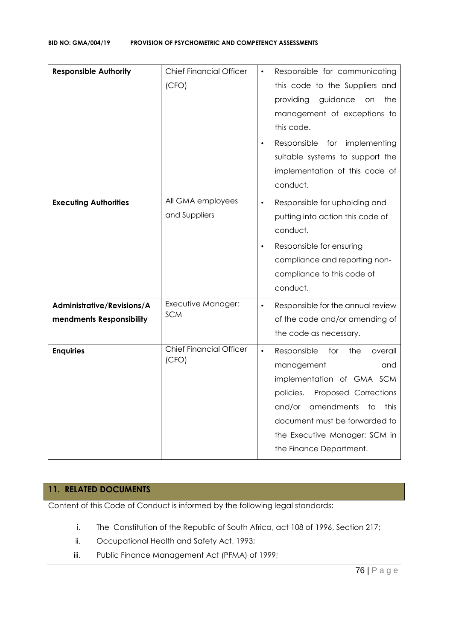| <b>Responsible Authority</b>                           | <b>Chief Financial Officer</b><br>(CFO) | Responsible for communicating<br>$\bullet$<br>this code to the Suppliers and<br>providing<br>guidance<br>the<br>on on<br>management of exceptions to<br>this code.<br>Responsible for implementing<br>suitable systems to support the<br>implementation of this code of<br>conduct. |
|--------------------------------------------------------|-----------------------------------------|-------------------------------------------------------------------------------------------------------------------------------------------------------------------------------------------------------------------------------------------------------------------------------------|
| <b>Executing Authorities</b>                           | All GMA employees<br>and Suppliers      | Responsible for upholding and<br>$\bullet$<br>putting into action this code of<br>conduct.<br>Responsible for ensuring<br>$\bullet$<br>compliance and reporting non-<br>compliance to this code of<br>conduct.                                                                      |
| Administrative/Revisions/A<br>mendments Responsibility | Executive Manager:<br><b>SCM</b>        | Responsible for the annual review<br>$\bullet$<br>of the code and/or amending of<br>the code as necessary.                                                                                                                                                                          |
| <b>Enquiries</b>                                       | <b>Chief Financial Officer</b><br>(CFO) | $\bullet$<br>Responsible<br>for<br>the<br>overall<br>management<br>and<br>implementation of GMA SCM<br>Proposed Corrections<br>policies.<br>and/or<br>amendments<br>to<br>this<br>document must be forwarded to<br>the Executive Manager: SCM in<br>the Finance Department.         |

# **11. RELATED DOCUMENTS**

Content of this Code of Conduct is informed by the following legal standards:

- i. The Constitution of the Republic of South Africa, act 108 of 1996, Section 217;
- ii. Occupational Health and Safety Act, 1993;
- iii. Public Finance Management Act (PFMA) of 1999;